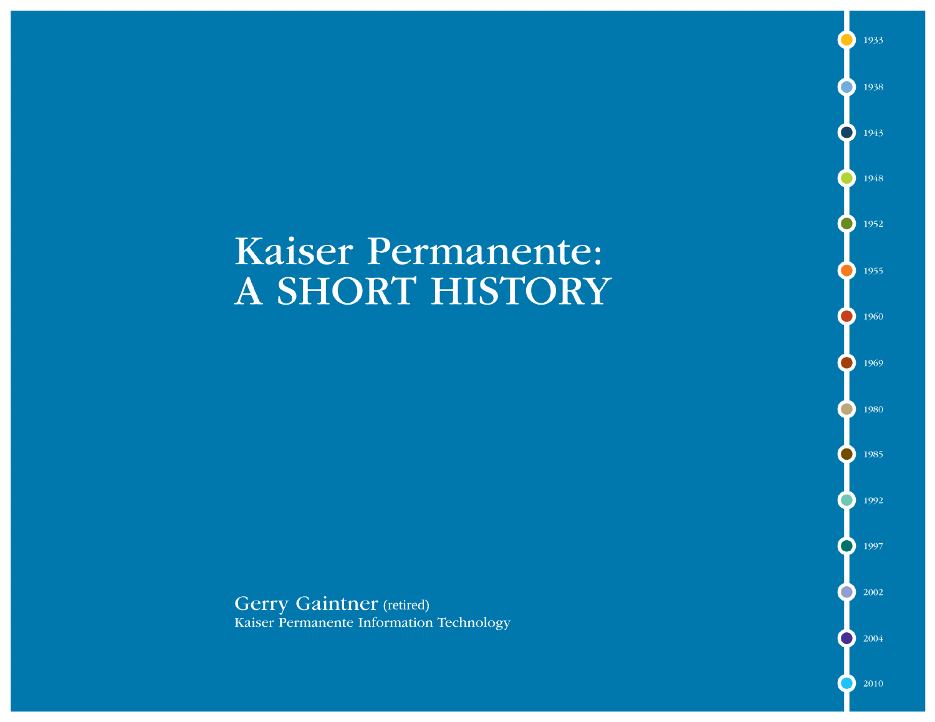# **Kaiser Permanente:** A SHORT HISTORY

**Gerry Gaintner** (retired) Kaiser Permanente Information Technology

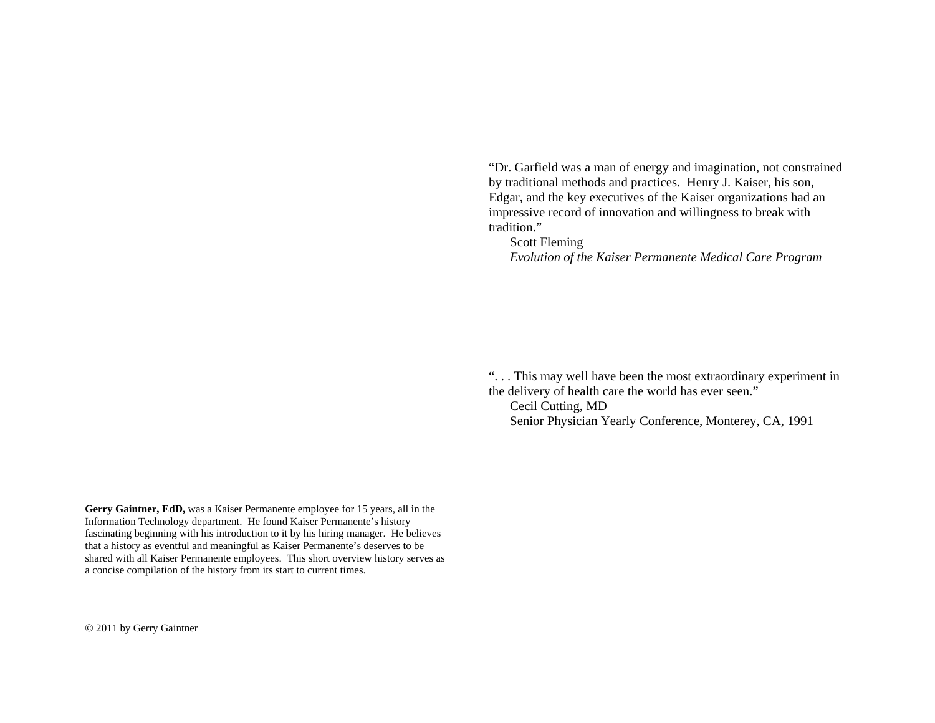"Dr. Garfield was a man of energy and imagination, not constrained by traditional methods and practices. Henry J. Kaiser, his son, Edgar, and the key executives of the Kaiser organizations had an impressive record of innovation and willingness to break with tradition."

 Scott Fleming *Evolution of the Kaiser Permanente Medical Care Program*

". . . This may well have been the most extraordinary experiment in the delivery of health care the world has ever seen." Cecil Cutting, MD

Senior Physician Yearly Conference, Monterey, CA, 1991

**Gerry Gaintner, EdD,** was a Kaiser Permanente employee for 15 years, all in the Information Technology department. He found Kaiser Permanente's history fascinating beginning with his introduction to it by his hiring manager. He believes that a history as eventful and meaningful as Kaiser Permanente's deserves to be shared with all Kaiser Permanente employees. This short overview history serves as a concise compilation of the history from its start to current times.

2011 by Gerry Gaintner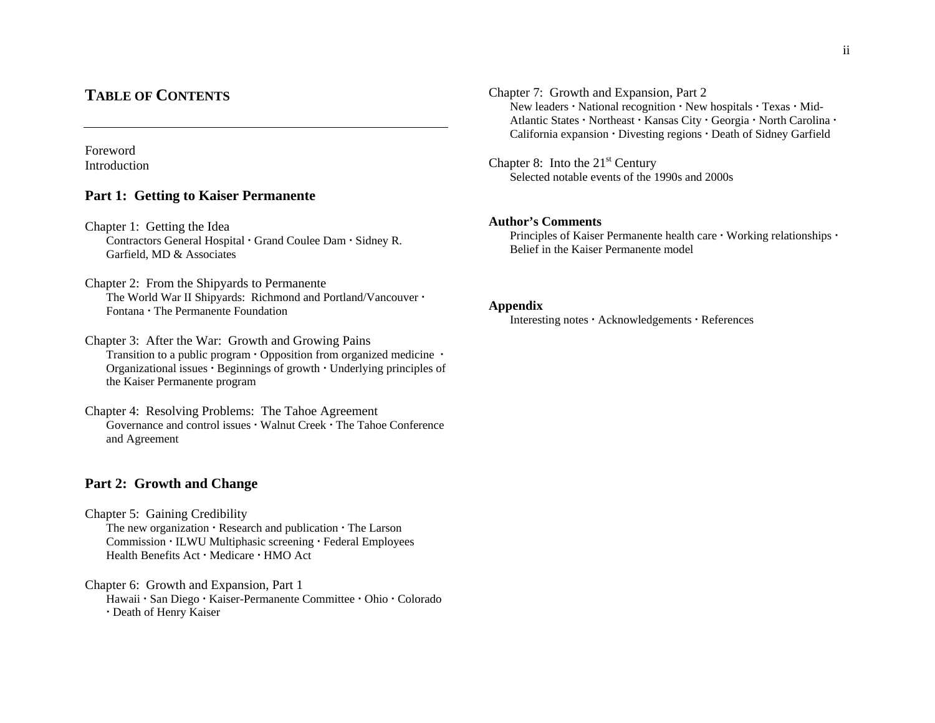#### ii

# **TABLE OF CONTENTS**

# Foreword Introduction

# **Part 1: Getting to Kaiser Permanente**

- Chapter 1: Getting the Idea Contractors General Hospital · Grand Coulee Dam · Sidney R. Garfield, MD & Associates
- Chapter 2: From the Shipyards to Permanente The World War II Shipyards: Richmond and Portland/Vancouver  $\cdot$ Fontana • The Permanente Foundation
- Chapter 3: After the War: Growth and Growing Pains Transition to a public program  $\cdot$  Opposition from organized medicine  $\cdot$ Organizational issues  $\cdot$  Beginnings of growth  $\cdot$  Underlying principles of the Kaiser Permanente program
- Chapter 4: Resolving Problems: The Tahoe Agreement Governance and control issues  $\cdot$  Walnut Creek  $\cdot$  The Tahoe Conference and Agreement

# **Part 2: Growth and Change**

Chapter 5: Gaining Credibility The new organization  $\cdot$  Research and publication  $\cdot$  The Larson Commission · ILWU Multiphasic screening · Federal Employees Health Benefits Act · Medicare · HMO Act

Chapter 6: Growth and Expansion, Part 1 Hawaii · San Diego · Kaiser-Permanente Committee · Ohio · Colorado Death of Henry Kaiser

Chapter 7: Growth and Expansion, Part 2 New leaders  $\cdot$  National recognition  $\cdot$  New hospitals  $\cdot$  Texas  $\cdot$  Mid-Atlantic States · Northeast · Kansas City · Georgia · North Carolina · California expansion  $\cdot$  Divesting regions  $\cdot$  Death of Sidney Garfield

#### Chapter 8: Into the  $21<sup>st</sup>$  Century Selected notable events of the 1990s and 2000s

#### **Author's Comments**

Principles of Kaiser Permanente health care  $\cdot$  Working relationships  $\cdot$ Belief in the Kaiser Permanente model

#### **Appendix**

Interesting notes · Acknowledgements · References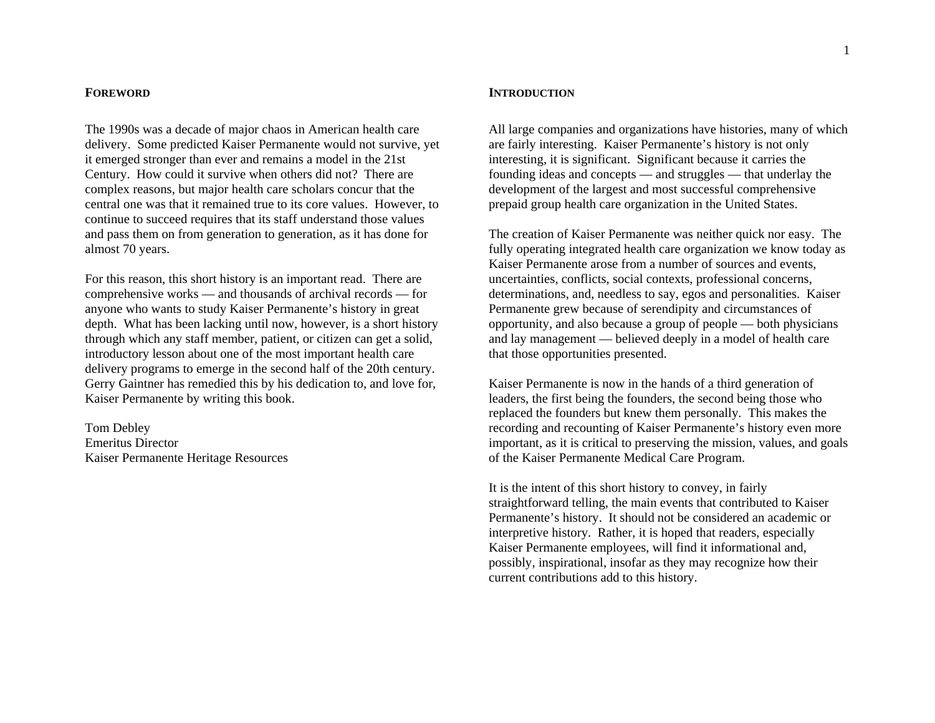#### **FOREWORD**

The 1990s was a decade of major chaos in American health care delivery. Some predicted Kaiser Permanente would not survive, yet it emerged stronger than ever and remains a model in the 21st Century. How could it survive when others did not? There are complex reasons, but major health care scholars concur that the central one was that it remained true to its core values. However, to continue to succeed requires that its staff understand those values and pass them on from generation to generation, as it has done for almost 70 years.

For this reason, this short history is an important read. There are comprehensive works — and thousands of archival records — for anyone who wants to study Kaiser Permanente's history in great depth. What has been lacking until now, however, is a short history through which any staff member, patient, or citizen can get a solid, introductory lesson about one of the most important health care delivery programs to emerge in the second half of the 20th century. Gerry Gaintner has remedied this by his dedication to, and love for, Kaiser Permanente by writing this book.

Tom Debley Emeritus Director Kaiser Permanente Heritage Resources

#### **INTRODUCTION**

All large companies and organizations have histories, many of which are fairly interesting. Kaiser Permanente's history is not only interesting, it is significant. Significant because it carries the founding ideas and concepts — and struggles — that underlay the development of the largest and most successful comprehensive prepaid group health care organization in the United States.

The creation of Kaiser Permanente was neither quick nor easy. The fully operating integrated health care organization we know today as Kaiser Permanente arose from a number of sources and events, uncertainties, conflicts, social contexts, professional concerns, determinations, and, needless to say, egos and personalities. Kaiser Permanente grew because of serendipity and circumstances of opportunity, and also because a group of people — both physicians and lay management — believed deeply in a model of health care that those opportunities presented.

Kaiser Permanente is now in the hands of a third generation of leaders, the first being the founders, the second being those who replaced the founders but knew them personally. This makes the recording and recounting of Kaiser Permanente's history even more important, as it is critical to preserving the mission, values, and goals of the Kaiser Permanente Medical Care Program.

It is the intent of this short history to convey, in fairly straightforward telling, the main events that contributed to Kaiser Permanente's history. It should not be considered an academic or interpretive history. Rather, it is hoped that readers, especially Kaiser Permanente employees, will find it informational and, possibly, inspirational, insofar as they may recognize how their current contributions add to this history.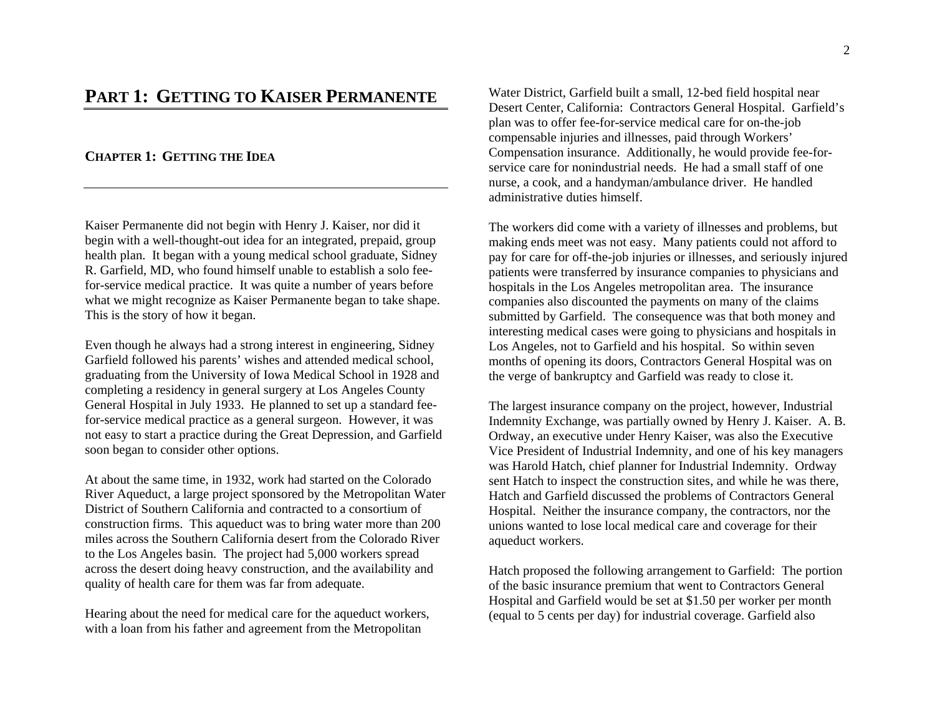# **PART 1:GETTING TO KAISER PERMANENTE**

#### **CHAPTER 1:GETTING THE IDEA**

Kaiser Permanente did not begin with Henry J. Kaiser, nor did it begin with a well-thought-out idea for an integrated, prepaid, group health plan. It began with a young medical school graduate, Sidney R. Garfield, MD, who found himself unable to establish a solo feefor-service medical practice. It was quite a number of years before what we might recognize as Kaiser Permanente began to take shape. This is the story of how it began.

Even though he always had a strong interest in engineering, Sidney Garfield followed his parents' wishes and attended medical school, graduating from the University of Iowa Medical School in 1928 and completing a residency in general surgery at Los Angeles County General Hospital in July 1933. He planned to set up a standard feefor-service medical practice as a general surgeon. However, it was not easy to start a practice during the Great Depression, and Garfield soon began to consider other options.

At about the same time, in 1932, work had started on the Colorado River Aqueduct, a large project sponsored by the Metropolitan Water District of Southern California and contracted to a consortium of construction firms. This aqueduct was to bring water more than 200 miles across the Southern California desert from the Colorado River to the Los Angeles basin. The project had 5,000 workers spread across the desert doing heavy construction, and the availability and quality of health care for them was far from adequate.

Hearing about the need for medical care for the aqueduct workers, with a loan from his father and agreement from the Metropolitan

Water District, Garfield built a small, 12-bed field hospital near Desert Center, California: Contractors General Hospital. Garfield's plan was to offer fee-for-service medical care for on-the-job compensable injuries and illnesses, paid through Workers' Compensation insurance. Additionally, he would provide fee-forservice care for nonindustrial needs. He had a small staff of one nurse, a cook, and a handyman/ambulance driver. He handled administrative duties himself.

The workers did come with a variety of illnesses and problems, but making ends meet was not easy. Many patients could not afford to pay for care for off-the-job injuries or illnesses, and seriously injured patients were transferred by insurance companies to physicians and hospitals in the Los Angeles metropolitan area. The insurance companies also discounted the payments on many of the claims submitted by Garfield. The consequence was that both money and interesting medical cases were going to physicians and hospitals in Los Angeles, not to Garfield and his hospital. So within seven months of opening its doors, Contractors General Hospital was on the verge of bankruptcy and Garfield was ready to close it.

The largest insurance company on the project, however, Industrial Indemnity Exchange, was partially owned by Henry J. Kaiser. A. B. Ordway, an executive under Henry Kaiser, was also the Executive Vice President of Industrial Indemnity, and one of his key managers was Harold Hatch, chief planner for Industrial Indemnity. Ordway sent Hatch to inspect the construction sites, and while he was there, Hatch and Garfield discussed the problems of Contractors General Hospital. Neither the insurance company, the contractors, nor the unions wanted to lose local medical care and coverage for their aqueduct workers.

Hatch proposed the following arrangement to Garfield: The portion of the basic insurance premium that went to Contractors General Hospital and Garfield would be set at \$1.50 per worker per month (equal to 5 cents per day) for industrial coverage. Garfield also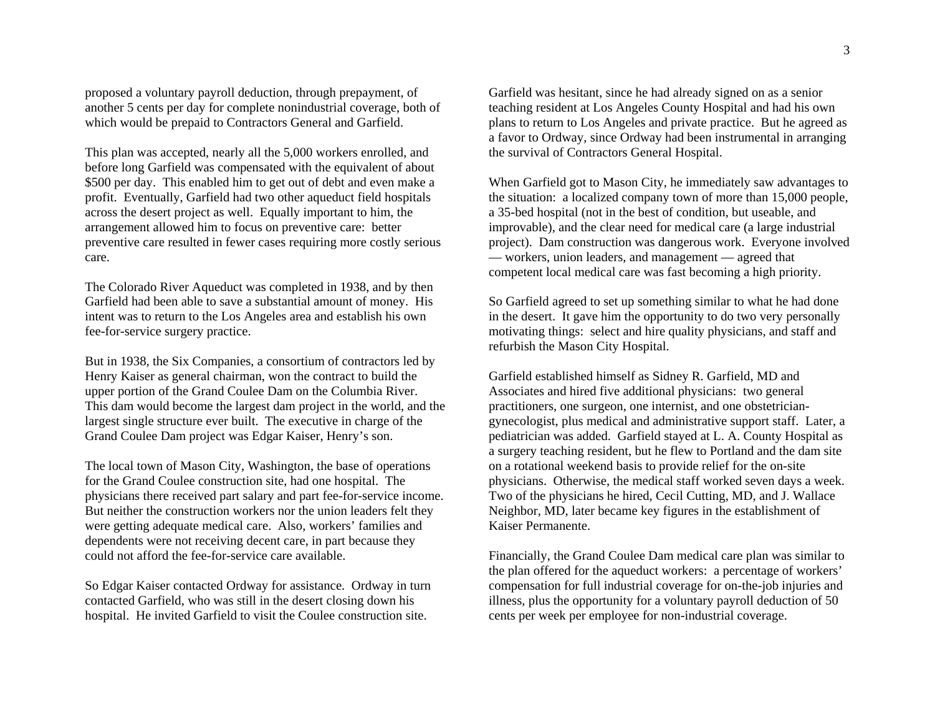proposed a voluntary payroll deduction, through prepayment, of another 5 cents per day for complete nonindustrial coverage, both of which would be prepaid to Contractors General and Garfield.

This plan was accepted, nearly all the 5,000 workers enrolled, and before long Garfield was compensated with the equivalent of about \$500 per day. This enabled him to get out of debt and even make a profit. Eventually, Garfield had two other aqueduct field hospitals across the desert project as well. Equally important to him, the arrangement allowed him to focus on preventive care: better preventive care resulted in fewer cases requiring more costly serious care.

The Colorado River Aqueduct was completed in 1938, and by then Garfield had been able to save a substantial amount of money. His intent was to return to the Los Angeles area and establish his own fee-for-service surgery practice.

But in 1938, the Six Companies, a consortium of contractors led by Henry Kaiser as general chairman, won the contract to build the upper portion of the Grand Coulee Dam on the Columbia River. This dam would become the largest dam project in the world, and the largest single structure ever built. The executive in charge of the Grand Coulee Dam project was Edgar Kaiser, Henry's son.

The local town of Mason City, Washington, the base of operations for the Grand Coulee construction site, had one hospital. The physicians there received part salary and part fee-for-service income. But neither the construction workers nor the union leaders felt they were getting adequate medical care. Also, workers' families and dependents were not receiving decent care, in part because they could not afford the fee-for-service care available.

So Edgar Kaiser contacted Ordway for assistance. Ordway in turn contacted Garfield, who was still in the desert closing down his hospital. He invited Garfield to visit the Coulee construction site.

Garfield was hesitant, since he had already signed on as a senior teaching resident at Los Angeles County Hospital and had his own plans to return to Los Angeles and private practice. But he agreed as a favor to Ordway, since Ordway had been instrumental in arranging the survival of Contractors General Hospital.

When Garfield got to Mason City, he immediately saw advantages to the situation: a localized company town of more than 15,000 people, a 35-bed hospital (not in the best of condition, but useable, and improvable), and the clear need for medical care (a large industrial project). Dam construction was dangerous work. Everyone involved — workers, union leaders, and management — agreed that competent local medical care was fast becoming a high priority.

So Garfield agreed to set up something similar to what he had done in the desert. It gave him the opportunity to do two very personally motivating things: select and hire quality physicians, and staff and refurbish the Mason City Hospital.

Garfield established himself as Sidney R. Garfield, MD and Associates and hired five additional physicians: two general practitioners, one surgeon, one internist, and one obstetriciangynecologist, plus medical and administrative support staff. Later, a pediatrician was added. Garfield stayed at L. A. County Hospital as a surgery teaching resident, but he flew to Portland and the dam site on a rotational weekend basis to provide relief for the on-site physicians. Otherwise, the medical staff worked seven days a week. Two of the physicians he hired, Cecil Cutting, MD, and J. Wallace Neighbor, MD, later became key figures in the establishment of Kaiser Permanente.

Financially, the Grand Coulee Dam medical care plan was similar to the plan offered for the aqueduct workers: a percentage of workers' compensation for full industrial coverage for on-the-job injuries and illness, plus the opportunity for a voluntary payroll deduction of 50 cents per week per employee for non-industrial coverage.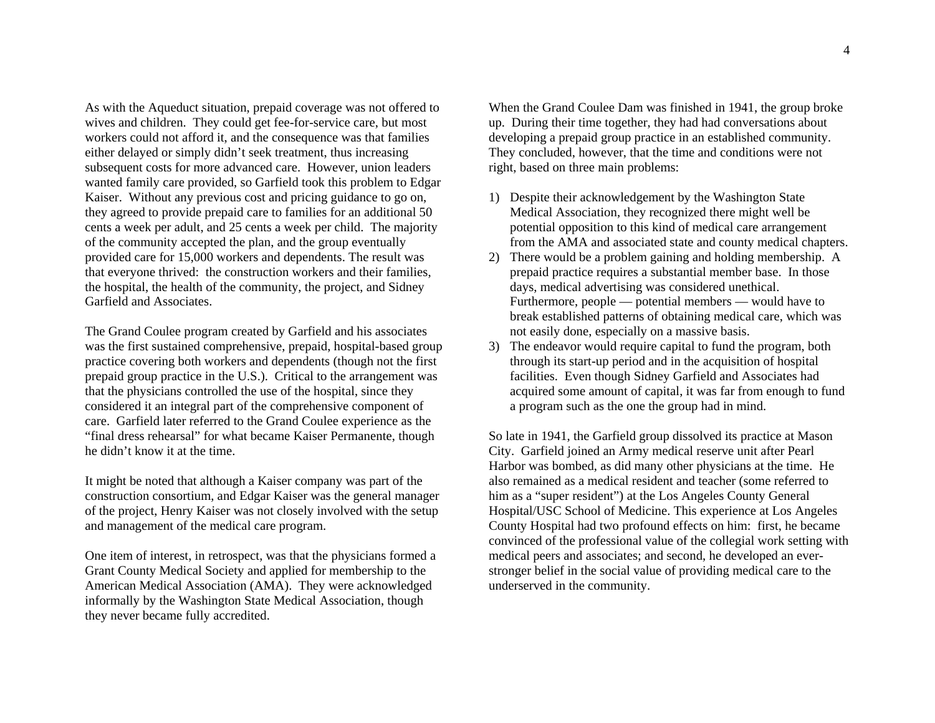As with the Aqueduct situation, prepaid coverage was not offered to wives and children. They could get fee-for-service care, but most workers could not afford it, and the consequence was that families either delayed or simply didn't seek treatment, thus increasing subsequent costs for more advanced care. However, union leaders wanted family care provided, so Garfield took this problem to Edgar Kaiser. Without any previous cost and pricing guidance to go on, they agreed to provide prepaid care to families for an additional 50 cents a week per adult, and 25 cents a week per child. The majority of the community accepted the plan, and the group eventually provided care for 15,000 workers and dependents. The result was that everyone thrived: the construction workers and their families, the hospital, the health of the community, the project, and Sidney Garfield and Associates.

The Grand Coulee program created by Garfield and his associates was the first sustained comprehensive, prepaid, hospital-based group practice covering both workers and dependents (though not the first prepaid group practice in the U.S.). Critical to the arrangement was that the physicians controlled the use of the hospital, since they considered it an integral part of the comprehensive component of care. Garfield later referred to the Grand Coulee experience as the "final dress rehearsal" for what became Kaiser Permanente, though he didn't know it at the time.

It might be noted that although a Kaiser company was part of the construction consortium, and Edgar Kaiser was the general manager of the project, Henry Kaiser was not closely involved with the setup and management of the medical care program.

One item of interest, in retrospect, was that the physicians formed a Grant County Medical Society and applied for membership to the American Medical Association (AMA). They were acknowledged informally by the Washington State Medical Association, though they never became fully accredited.

When the Grand Coulee Dam was finished in 1941, the group broke up. During their time together, they had had conversations about developing a prepaid group practice in an established community. They concluded, however, that the time and conditions were not right, based on three main problems:

- 1) Despite their acknowledgement by the Washington State Medical Association, they recognized there might well be potential opposition to this kind of medical care arrangement from the AMA and associated state and county medical chapters.
- 2) There would be a problem gaining and holding membership. A prepaid practice requires a substantial member base. In those days, medical advertising was considered unethical. Furthermore, people — potential members — would have to break established patterns of obtaining medical care, which was not easily done, especially on a massive basis.
- 3) The endeavor would require capital to fund the program, both through its start-up period and in the acquisition of hospital facilities. Even though Sidney Garfield and Associates had acquired some amount of capital, it was far from enough to fund a program such as the one the group had in mind.

So late in 1941, the Garfield group dissolved its practice at Mason City. Garfield joined an Army medical reserve unit after Pearl Harbor was bombed, as did many other physicians at the time. He also remained as a medical resident and teacher (some referred to him as a "super resident") at the Los Angeles County General Hospital/USC School of Medicine. This experience at Los Angeles County Hospital had two profound effects on him: first, he became convinced of the professional value of the collegial work setting with medical peers and associates; and second, he developed an everstronger belief in the social value of providing medical care to the underserved in the community.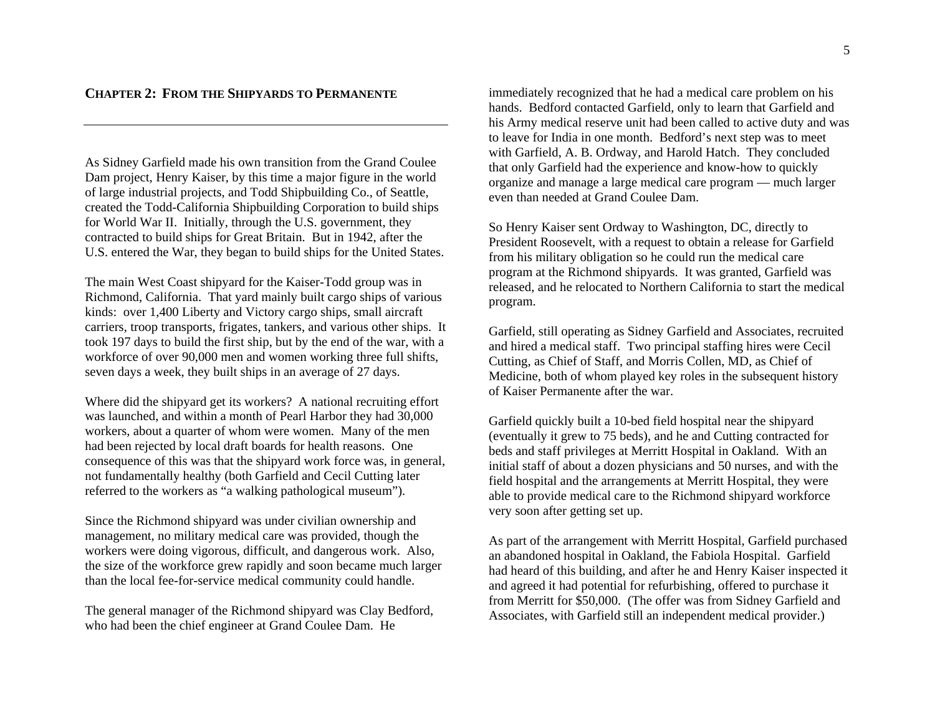### **CHAPTER 2:FROM THE SHIPYARDS TO PERMANENTE**

As Sidney Garfield made his own transition from the Grand Coulee Dam project, Henry Kaiser, by this time a major figure in the world of large industrial projects, and Todd Shipbuilding Co., of Seattle, created the Todd-California Shipbuilding Corporation to build ships for World War II. Initially, through the U.S. government, they contracted to build ships for Great Britain. But in 1942, after the U.S. entered the War, they began to build ships for the United States.

The main West Coast shipyard for the Kaiser-Todd group was in Richmond, California. That yard mainly built cargo ships of various kinds: over 1,400 Liberty and Victory cargo ships, small aircraft carriers, troop transports, frigates, tankers, and various other ships. It took 197 days to build the first ship, but by the end of the war, with a workforce of over 90,000 men and women working three full shifts, seven days a week, they built ships in an average of 27 days.

Where did the shipyard get its workers? A national recruiting effort was launched, and within a month of Pearl Harbor they had 30,000 workers, about a quarter of whom were women. Many of the men had been rejected by local draft boards for health reasons. One consequence of this was that the shipyard work force was, in general, not fundamentally healthy (both Garfield and Cecil Cutting later referred to the workers as "a walking pathological museum").

Since the Richmond shipyard was under civilian ownership and management, no military medical care was provided, though the workers were doing vigorous, difficult, and dangerous work. Also, the size of the workforce grew rapidly and soon became much larger than the local fee-for-service medical community could handle.

The general manager of the Richmond shipyard was Clay Bedford, who had been the chief engineer at Grand Coulee Dam. He

immediately recognized that he had a medical care problem on his hands. Bedford contacted Garfield, only to learn that Garfield and his Army medical reserve unit had been called to active duty and was to leave for India in one month. Bedford's next step was to meet with Garfield, A. B. Ordway, and Harold Hatch. They concluded that only Garfield had the experience and know-how to quickly organize and manage a large medical care program — much larger even than needed at Grand Coulee Dam.

So Henry Kaiser sent Ordway to Washington, DC, directly to President Roosevelt, with a request to obtain a release for Garfield from his military obligation so he could run the medical care program at the Richmond shipyards. It was granted, Garfield was released, and he relocated to Northern California to start the medical program.

Garfield, still operating as Sidney Garfield and Associates, recruited and hired a medical staff. Two principal staffing hires were Cecil Cutting, as Chief of Staff, and Morris Collen, MD, as Chief of Medicine, both of whom played key roles in the subsequent history of Kaiser Permanente after the war.

Garfield quickly built a 10-bed field hospital near the shipyard (eventually it grew to 75 beds), and he and Cutting contracted for beds and staff privileges at Merritt Hospital in Oakland. With an initial staff of about a dozen physicians and 50 nurses, and with the field hospital and the arrangements at Merritt Hospital, they were able to provide medical care to the Richmond shipyard workforce very soon after getting set up.

As part of the arrangement with Merritt Hospital, Garfield purchased an abandoned hospital in Oakland, the Fabiola Hospital. Garfield had heard of this building, and after he and Henry Kaiser inspected it and agreed it had potential for refurbishing, offered to purchase it from Merritt for \$50,000. (The offer was from Sidney Garfield and Associates, with Garfield still an independent medical provider.)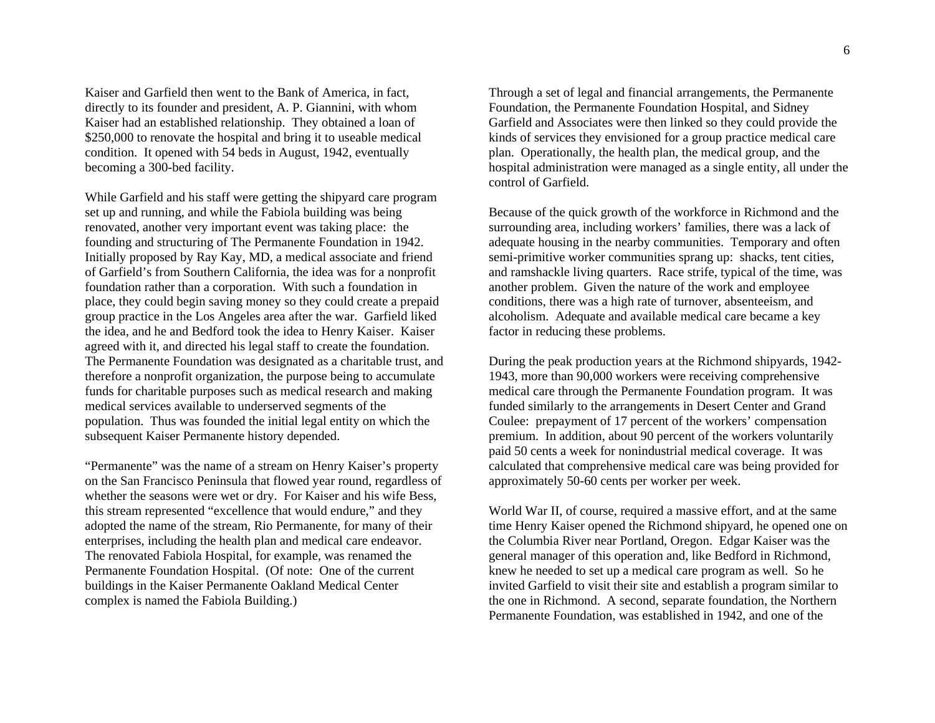Kaiser and Garfield then went to the Bank of America, in fact, directly to its founder and president, A. P. Giannini, with whom Kaiser had an established relationship. They obtained a loan of \$250,000 to renovate the hospital and bring it to useable medical condition. It opened with 54 beds in August, 1942, eventually becoming a 300-bed facility.

While Garfield and his staff were getting the shipyard care program set up and running, and while the Fabiola building was being renovated, another very important event was taking place: the founding and structuring of The Permanente Foundation in 1942. Initially proposed by Ray Kay, MD, a medical associate and friend of Garfield's from Southern California, the idea was for a nonprofit foundation rather than a corporation. With such a foundation in place, they could begin saving money so they could create a prepaid group practice in the Los Angeles area after the war. Garfield liked the idea, and he and Bedford took the idea to Henry Kaiser. Kaiser agreed with it, and directed his legal staff to create the foundation. The Permanente Foundation was designated as a charitable trust, and therefore a nonprofit organization, the purpose being to accumulate funds for charitable purposes such as medical research and making medical services available to underserved segments of the population. Thus was founded the initial legal entity on which the subsequent Kaiser Permanente history depended.

"Permanente" was the name of a stream on Henry Kaiser's property on the San Francisco Peninsula that flowed year round, regardless of whether the seasons were wet or dry. For Kaiser and his wife Bess, this stream represented "excellence that would endure," and they adopted the name of the stream, Rio Permanente, for many of their enterprises, including the health plan and medical care endeavor. The renovated Fabiola Hospital, for example, was renamed the Permanente Foundation Hospital. (Of note: One of the current buildings in the Kaiser Permanente Oakland Medical Center complex is named the Fabiola Building.)

Through a set of legal and financial arrangements, the Permanente Foundation, the Permanente Foundation Hospital, and Sidney Garfield and Associates were then linked so they could provide the kinds of services they envisioned for a group practice medical care plan. Operationally, the health plan, the medical group, and the hospital administration were managed as a single entity, all under the control of Garfield.

Because of the quick growth of the workforce in Richmond and the surrounding area, including workers' families, there was a lack of adequate housing in the nearby communities. Temporary and often semi-primitive worker communities sprang up: shacks, tent cities, and ramshackle living quarters. Race strife, typical of the time, was another problem. Given the nature of the work and employee conditions, there was a high rate of turnover, absenteeism, and alcoholism. Adequate and available medical care became a key factor in reducing these problems.

During the peak production years at the Richmond shipyards, 1942- 1943, more than 90,000 workers were receiving comprehensive medical care through the Permanente Foundation program. It was funded similarly to the arrangements in Desert Center and Grand Coulee: prepayment of 17 percent of the workers' compensation premium. In addition, about 90 percent of the workers voluntarily paid 50 cents a week for nonindustrial medical coverage. It was calculated that comprehensive medical care was being provided for approximately 50-60 cents per worker per week.

World War II, of course, required a massive effort, and at the same time Henry Kaiser opened the Richmond shipyard, he opened one on the Columbia River near Portland, Oregon. Edgar Kaiser was the general manager of this operation and, like Bedford in Richmond, knew he needed to set up a medical care program as well. So he invited Garfield to visit their site and establish a program similar to the one in Richmond. A second, separate foundation, the Northern Permanente Foundation, was established in 1942, and one of the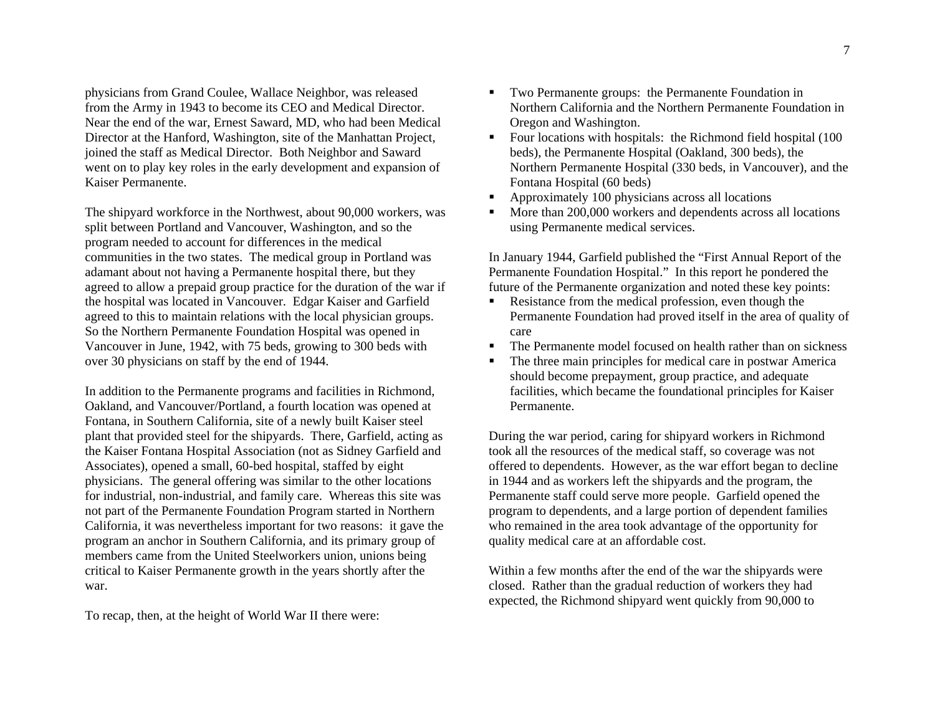physicians from Grand Coulee, Wallace Neighbor, was released from the Army in 1943 to become its CEO and Medical Director. Near the end of the war, Ernest Saward, MD, who had been Medical Director at the Hanford, Washington, site of the Manhattan Project, joined the staff as Medical Director. Both Neighbor and Saward went on to play key roles in the early development and expansion of Kaiser Permanente.

The shipyard workforce in the Northwest, about 90,000 workers, was split between Portland and Vancouver, Washington, and so the program needed to account for differences in the medical communities in the two states. The medical group in Portland was adamant about not having a Permanente hospital there, but they agreed to allow a prepaid group practice for the duration of the war if the hospital was located in Vancouver. Edgar Kaiser and Garfield agreed to this to maintain relations with the local physician groups. So the Northern Permanente Foundation Hospital was opened in Vancouver in June, 1942, with 75 beds, growing to 300 beds with over 30 physicians on staff by the end of 1944.

In addition to the Permanente programs and facilities in Richmond, Oakland, and Vancouver/Portland, a fourth location was opened at Fontana, in Southern California, site of a newly built Kaiser steel plant that provided steel for the shipyards. There, Garfield, acting as the Kaiser Fontana Hospital Association (not as Sidney Garfield and Associates), opened a small, 60-bed hospital, staffed by eight physicians. The general offering was similar to the other locations for industrial, non-industrial, and family care. Whereas this site was not part of the Permanente Foundation Program started in Northern California, it was nevertheless important for two reasons: it gave the program an anchor in Southern California, and its primary group of members came from the United Steelworkers union, unions being critical to Kaiser Permanente growth in the years shortly after the war.

To recap, then, at the height of World War II there were:

- **TWO Permanente groups: the Permanente Foundation in** Northern California and the Northern Permanente Foundation in Oregon and Washington.
- Four locations with hospitals: the Richmond field hospital (100 beds), the Permanente Hospital (Oakland, 300 beds), the Northern Permanente Hospital (330 beds, in Vancouver), and the Fontana Hospital (60 beds)
- Approximately 100 physicians across all locations
- $\mathbf{m}$  . More than 200,000 workers and dependents across all locations using Permanente medical services.

In January 1944, Garfield published the "First Annual Report of the Permanente Foundation Hospital." In this report he pondered the future of the Permanente organization and noted these key points:

- Resistance from the medical profession, even though the Permanente Foundation had proved itself in the area of quality of care
- $\blacksquare$ The Permanente model focused on health rather than on sickness
- $\blacksquare$  . The three main principles for medical care in postwar America should become prepayment, group practice, and adequate facilities, which became the foundational principles for Kaiser Permanente.

During the war period, caring for shipyard workers in Richmond took all the resources of the medical staff, so coverage was not offered to dependents. However, as the war effort began to decline in 1944 and as workers left the shipyards and the program, the Permanente staff could serve more people. Garfield opened the program to dependents, and a large portion of dependent families who remained in the area took advantage of the opportunity for quality medical care at an affordable cost.

Within a few months after the end of the war the shipyards were closed. Rather than the gradual reduction of workers they had expected, the Richmond shipyard went quickly from 90,000 to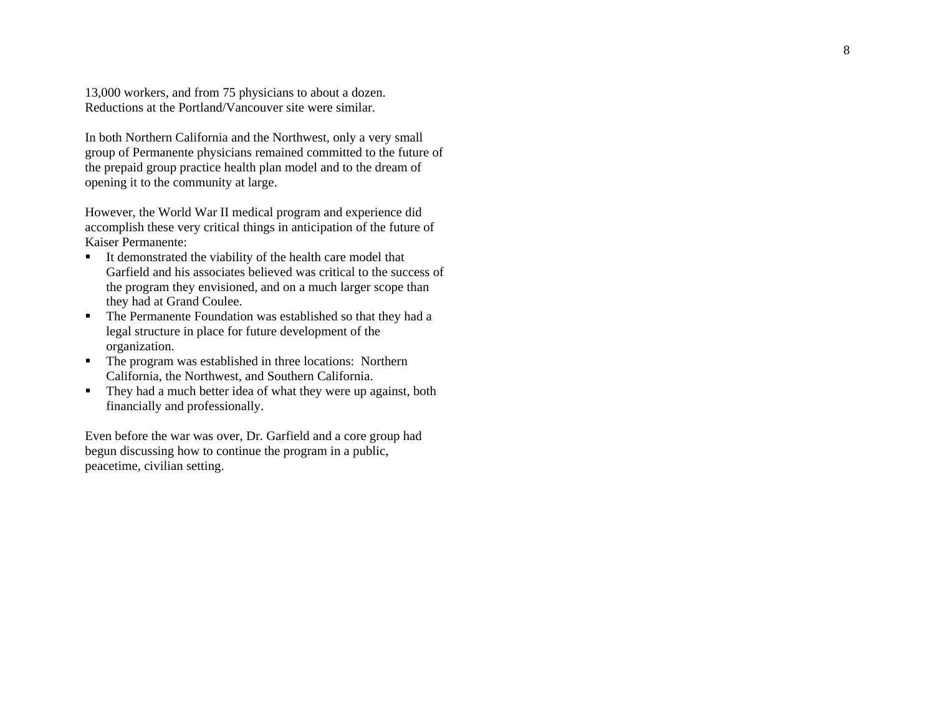13,000 workers, and from 75 physicians to about a dozen. Reductions at the Portland/Vancouver site were similar.

In both Northern California and the Northwest, only a very small group of Permanente physicians remained committed to the future of the prepaid group practice health plan model and to the dream of opening it to the community at large.

However, the World War II medical program and experience did accomplish these very critical things in anticipation of the future of Kaiser Permanente:

- It demonstrated the viability of the health care model that Garfield and his associates believed was critical to the success of the program they envisioned, and on a much larger scope than they had at Grand Coulee.
- **The Permanente Foundation was established so that they had a** legal structure in place for future development of the organization.
- The program was established in three locations: Northern California, the Northwest, and Southern California.
- They had a much better idea of what they were up against, both financially and professionally.

Even before the war was over, Dr. Garfield and a core group had begun discussing how to continue the program in a public, peacetime, civilian setting.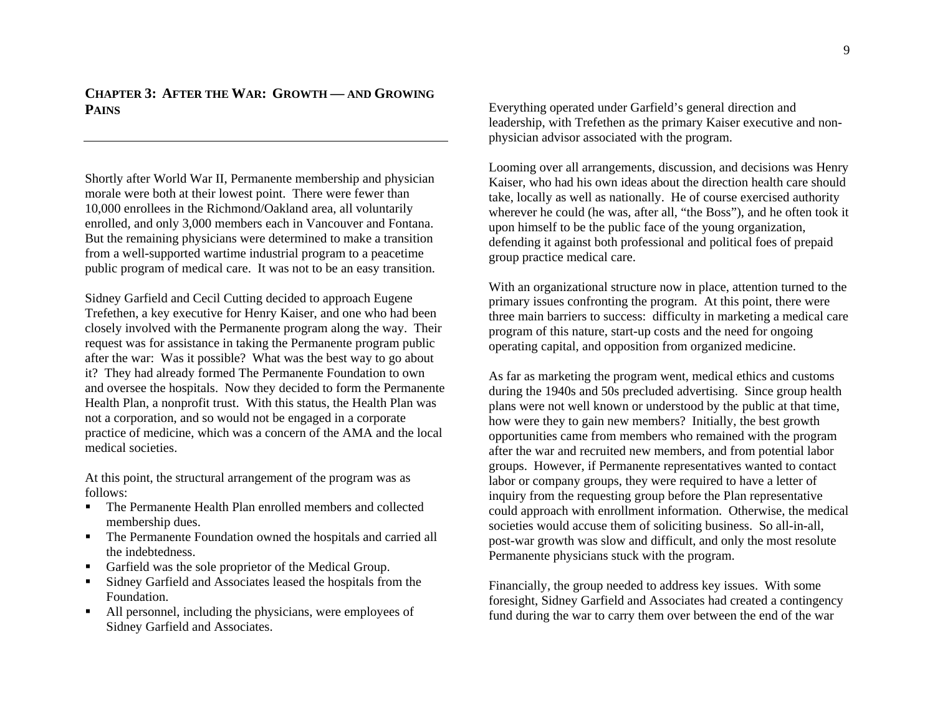**CHAPTER 3:AFTER THE WAR: GROWTH — AND GROWING PAINS**

Shortly after World War II, Permanente membership and physician morale were both at their lowest point. There were fewer than 10,000 enrollees in the Richmond/Oakland area, all voluntarily enrolled, and only 3,000 members each in Vancouver and Fontana. But the remaining physicians were determined to make a transition from a well-supported wartime industrial program to a peacetime public program of medical care. It was not to be an easy transition.

Sidney Garfield and Cecil Cutting decided to approach Eugene Trefethen, a key executive for Henry Kaiser, and one who had been closely involved with the Permanente program along the way. Their request was for assistance in taking the Permanente program public after the war: Was it possible? What was the best way to go about it? They had already formed The Permanente Foundation to own and oversee the hospitals. Now they decided to form the Permanente Health Plan, a nonprofit trust. With this status, the Health Plan was not a corporation, and so would not be engaged in a corporate practice of medicine, which was a concern of the AMA and the local medical societies.

At this point, the structural arrangement of the program was as follows:

- The Permanente Health Plan enrolled members and collected membership dues.
- **The Permanente Foundation owned the hospitals and carried all** the indebtedness.
- Garfield was the sole proprietor of the Medical Group.
- Sidney Garfield and Associates leased the hospitals from the Foundation.
- All personnel, including the physicians, were employees of Sidney Garfield and Associates.

Everything operated under Garfield's general direction and leadership, with Trefethen as the primary Kaiser executive and nonphysician advisor associated with the program.

Looming over all arrangements, discussion, and decisions was Henry Kaiser, who had his own ideas about the direction health care should take, locally as well as nationally. He of course exercised authority wherever he could (he was, after all, "the Boss"), and he often took it upon himself to be the public face of the young organization, defending it against both professional and political foes of prepaid group practice medical care.

With an organizational structure now in place, attention turned to the primary issues confronting the program. At this point, there were three main barriers to success: difficulty in marketing a medical care program of this nature, start-up costs and the need for ongoing operating capital, and opposition from organized medicine.

As far as marketing the program went, medical ethics and customs during the 1940s and 50s precluded advertising. Since group health plans were not well known or understood by the public at that time, how were they to gain new members? Initially, the best growth opportunities came from members who remained with the program after the war and recruited new members, and from potential labor groups. However, if Permanente representatives wanted to contact labor or company groups, they were required to have a letter of inquiry from the requesting group before the Plan representative could approach with enrollment information. Otherwise, the medical societies would accuse them of soliciting business. So all-in-all, post-war growth was slow and difficult, and only the most resolute Permanente physicians stuck with the program.

Financially, the group needed to address key issues. With some foresight, Sidney Garfield and Associates had created a contingency fund during the war to carry them over between the end of the war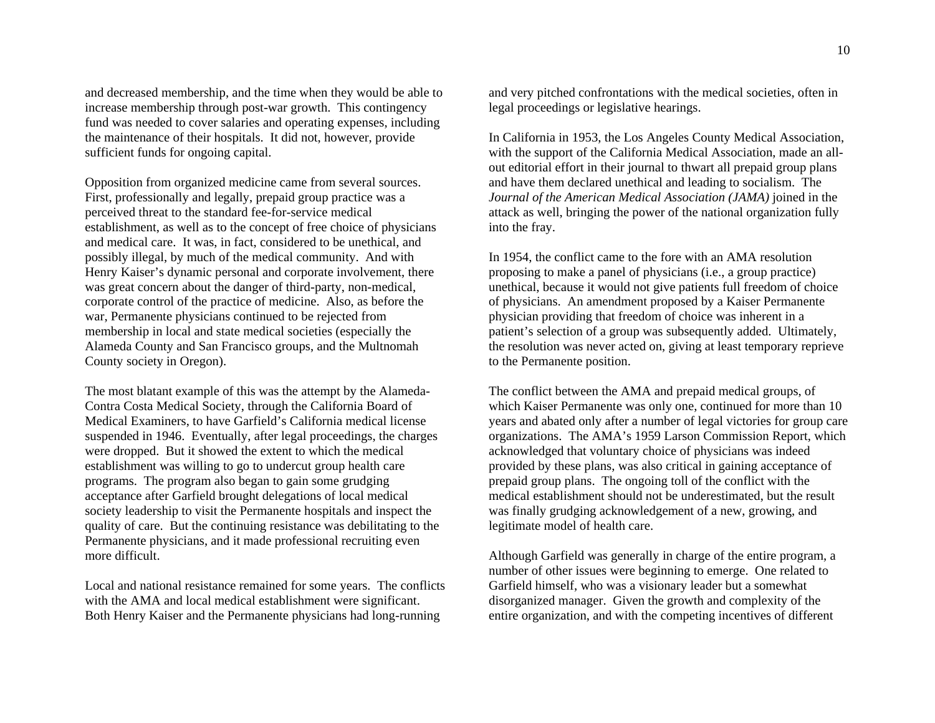and decreased membership, and the time when they would be able to increase membership through post-war growth. This contingency fund was needed to cover salaries and operating expenses, including the maintenance of their hospitals. It did not, however, provide sufficient funds for ongoing capital.

Opposition from organized medicine came from several sources. First, professionally and legally, prepaid group practice was a perceived threat to the standard fee-for-service medical establishment, as well as to the concept of free choice of physicians and medical care. It was, in fact, considered to be unethical, and possibly illegal, by much of the medical community. And with Henry Kaiser's dynamic personal and corporate involvement, there was great concern about the danger of third-party, non-medical, corporate control of the practice of medicine. Also, as before the war, Permanente physicians continued to be rejected from membership in local and state medical societies (especially the Alameda County and San Francisco groups, and the Multnomah County society in Oregon).

The most blatant example of this was the attempt by the Alameda-Contra Costa Medical Society, through the California Board of Medical Examiners, to have Garfield's California medical license suspended in 1946. Eventually, after legal proceedings, the charges were dropped. But it showed the extent to which the medical establishment was willing to go to undercut group health care programs. The program also began to gain some grudging acceptance after Garfield brought delegations of local medical society leadership to visit the Permanente hospitals and inspect the quality of care. But the continuing resistance was debilitating to the Permanente physicians, and it made professional recruiting even more difficult.

Local and national resistance remained for some years. The conflicts with the AMA and local medical establishment were significant. Both Henry Kaiser and the Permanente physicians had long-running

and very pitched confrontations with the medical societies, often in legal proceedings or legislative hearings.

In California in 1953, the Los Angeles County Medical Association, with the support of the California Medical Association, made an allout editorial effort in their journal to thwart all prepaid group plans and have them declared unethical and leading to socialism. The *Journal of the American Medical Association (JAMA)* joined in the attack as well, bringing the power of the national organization fully into the fray.

In 1954, the conflict came to the fore with an AMA resolution proposing to make a panel of physicians (i.e., a group practice) unethical, because it would not give patients full freedom of choice of physicians. An amendment proposed by a Kaiser Permanente physician providing that freedom of choice was inherent in a patient's selection of a group was subsequently added. Ultimately, the resolution was never acted on, giving at least temporary reprieve to the Permanente position.

The conflict between the AMA and prepaid medical groups, of which Kaiser Permanente was only one, continued for more than 10 years and abated only after a number of legal victories for group care organizations. The AMA's 1959 Larson Commission Report, which acknowledged that voluntary choice of physicians was indeed provided by these plans, was also critical in gaining acceptance of prepaid group plans. The ongoing toll of the conflict with the medical establishment should not be underestimated, but the result was finally grudging acknowledgement of a new, growing, and legitimate model of health care.

Although Garfield was generally in charge of the entire program, a number of other issues were beginning to emerge. One related to Garfield himself, who was a visionary leader but a somewhat disorganized manager. Given the growth and complexity of the entire organization, and with the competing incentives of different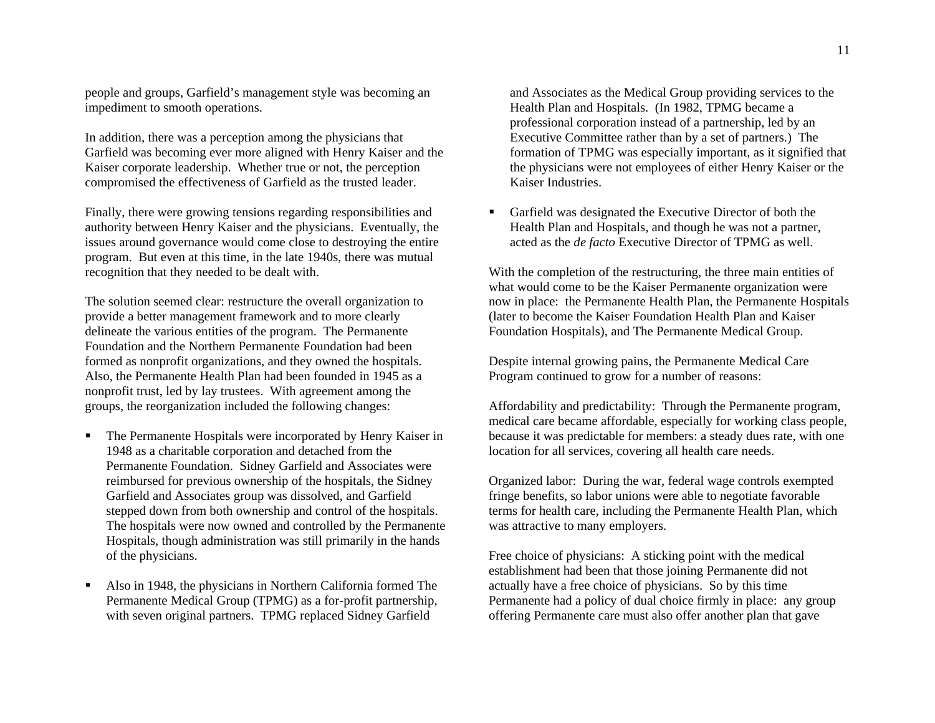people and groups, Garfield's management style was becoming an impediment to smooth operations.

In addition, there was a perception among the physicians that Garfield was becoming ever more aligned with Henry Kaiser and the Kaiser corporate leadership. Whether true or not, the perception compromised the effectiveness of Garfield as the trusted leader.

Finally, there were growing tensions regarding responsibilities and authority between Henry Kaiser and the physicians. Eventually, the issues around governance would come close to destroying the entire program. But even at this time, in the late 1940s, there was mutual recognition that they needed to be dealt with.

The solution seemed clear: restructure the overall organization to provide a better management framework and to more clearly delineate the various entities of the program. The Permanente Foundation and the Northern Permanente Foundation had been formed as nonprofit organizations, and they owned the hospitals. Also, the Permanente Health Plan had been founded in 1945 as a nonprofit trust, led by lay trustees. With agreement among the groups, the reorganization included the following changes:

- **The Permanente Hospitals were incorporated by Henry Kaiser in** 1948 as a charitable corporation and detached from the Permanente Foundation. Sidney Garfield and Associates were reimbursed for previous ownership of the hospitals, the Sidney Garfield and Associates group was dissolved, and Garfield stepped down from both ownership and control of the hospitals. The hospitals were now owned and controlled by the Permanente Hospitals, though administration was still primarily in the hands of the physicians.
- н Also in 1948, the physicians in Northern California formed The Permanente Medical Group (TPMG) as a for-profit partnership, with seven original partners. TPMG replaced Sidney Garfield

and Associates as the Medical Group providing services to the Health Plan and Hospitals. (In 1982, TPMG became a professional corporation instead of a partnership, led by an Executive Committee rather than by a set of partners.) The formation of TPMG was especially important, as it signified that the physicians were not employees of either Henry Kaiser or the Kaiser Industries.

 Garfield was designated the Executive Director of both the Health Plan and Hospitals, and though he was not a partner, acted as the *de facto* Executive Director of TPMG as well.

With the completion of the restructuring, the three main entities of what would come to be the Kaiser Permanente organization were now in place: the Permanente Health Plan, the Permanente Hospitals (later to become the Kaiser Foundation Health Plan and Kaiser Foundation Hospitals), and The Permanente Medical Group.

Despite internal growing pains, the Permanente Medical Care Program continued to grow for a number of reasons:

Affordability and predictability: Through the Permanente program, medical care became affordable, especially for working class people, because it was predictable for members: a steady dues rate, with one location for all services, covering all health care needs.

Organized labor: During the war, federal wage controls exempted fringe benefits, so labor unions were able to negotiate favorable terms for health care, including the Permanente Health Plan, which was attractive to many employers.

Free choice of physicians: A sticking point with the medical establishment had been that those joining Permanente did not actually have a free choice of physicians. So by this time Permanente had a policy of dual choice firmly in place: any group offering Permanente care must also offer another plan that gave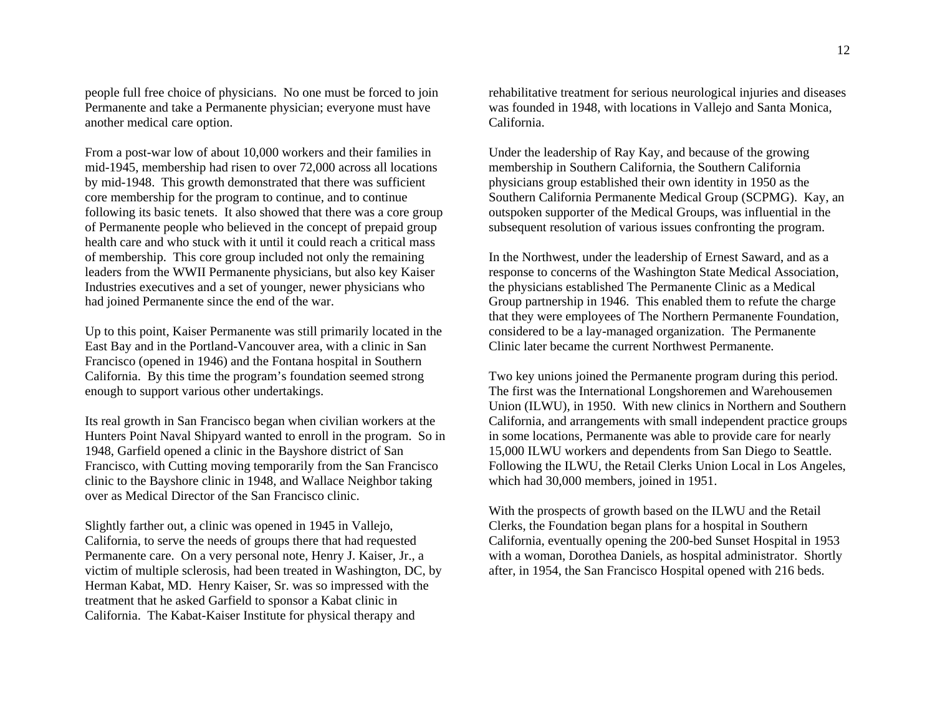people full free choice of physicians. No one must be forced to join Permanente and take a Permanente physician; everyone must have another medical care option.

From a post-war low of about 10,000 workers and their families in mid-1945, membership had risen to over 72,000 across all locations by mid-1948. This growth demonstrated that there was sufficient core membership for the program to continue, and to continue following its basic tenets. It also showed that there was a core group of Permanente people who believed in the concept of prepaid group health care and who stuck with it until it could reach a critical mass of membership. This core group included not only the remaining leaders from the WWII Permanente physicians, but also key Kaiser Industries executives and a set of younger, newer physicians who had joined Permanente since the end of the war.

Up to this point, Kaiser Permanente was still primarily located in the East Bay and in the Portland-Vancouver area, with a clinic in San Francisco (opened in 1946) and the Fontana hospital in Southern California. By this time the program's foundation seemed strong enough to support various other undertakings.

Its real growth in San Francisco began when civilian workers at the Hunters Point Naval Shipyard wanted to enroll in the program. So in 1948, Garfield opened a clinic in the Bayshore district of San Francisco, with Cutting moving temporarily from the San Francisco clinic to the Bayshore clinic in 1948, and Wallace Neighbor taking over as Medical Director of the San Francisco clinic.

Slightly farther out, a clinic was opened in 1945 in Vallejo, California, to serve the needs of groups there that had requested Permanente care. On a very personal note, Henry J. Kaiser, Jr., a victim of multiple sclerosis, had been treated in Washington, DC, by Herman Kabat, MD. Henry Kaiser, Sr. was so impressed with the treatment that he asked Garfield to sponsor a Kabat clinic in California. The Kabat-Kaiser Institute for physical therapy and

rehabilitative treatment for serious neurological injuries and diseases was founded in 1948, with locations in Vallejo and Santa Monica, California.

Under the leadership of Ray Kay, and because of the growing membership in Southern California, the Southern California physicians group established their own identity in 1950 as the Southern California Permanente Medical Group (SCPMG). Kay, an outspoken supporter of the Medical Groups, was influential in the subsequent resolution of various issues confronting the program.

In the Northwest, under the leadership of Ernest Saward, and as a response to concerns of the Washington State Medical Association, the physicians established The Permanente Clinic as a Medical Group partnership in 1946. This enabled them to refute the charge that they were employees of The Northern Permanente Foundation, considered to be a lay-managed organization. The Permanente Clinic later became the current Northwest Permanente.

Two key unions joined the Permanente program during this period. The first was the International Longshoremen and Warehousemen Union (ILWU), in 1950. With new clinics in Northern and Southern California, and arrangements with small independent practice groups in some locations, Permanente was able to provide care for nearly 15,000 ILWU workers and dependents from San Diego to Seattle. Following the ILWU, the Retail Clerks Union Local in Los Angeles, which had 30,000 members, joined in 1951.

With the prospects of growth based on the ILWU and the Retail Clerks, the Foundation began plans for a hospital in Southern California, eventually opening the 200-bed Sunset Hospital in 1953 with a woman, Dorothea Daniels, as hospital administrator. Shortly after, in 1954, the San Francisco Hospital opened with 216 beds.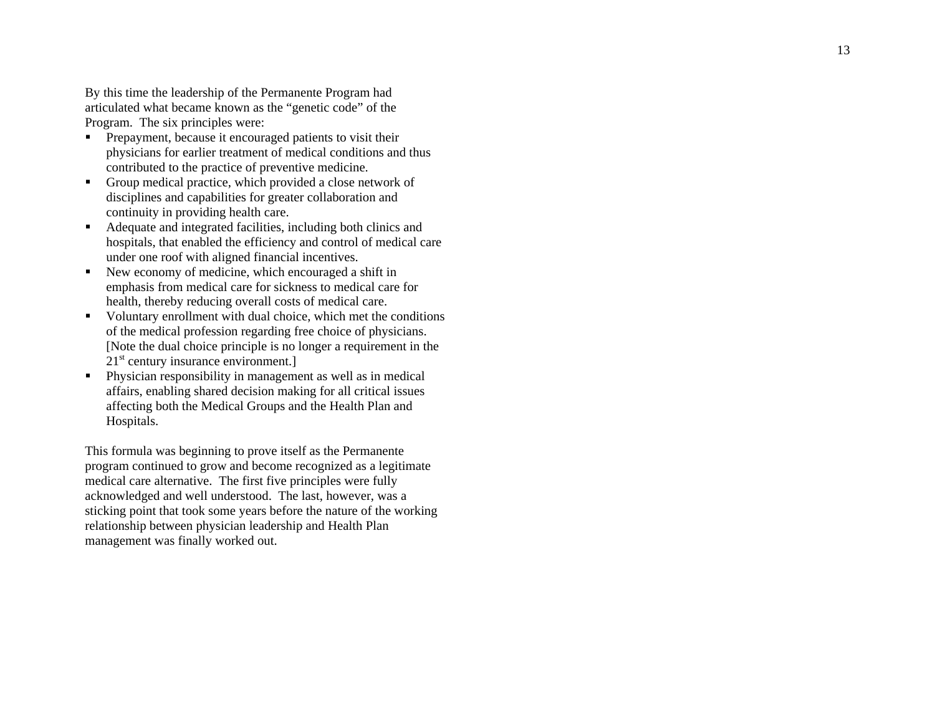By this time the leadership of the Permanente Program had articulated what became known as the "genetic code" of the Program. The six principles were:

- **Prepayment, because it encouraged patients to visit their** physicians for earlier treatment of medical conditions and thus contributed to the practice of preventive medicine.
- Group medical practice, which provided a close network of disciplines and capabilities for greater collaboration and continuity in providing health care.
- Adequate and integrated facilities, including both clinics and hospitals, that enabled the efficiency and control of medical care under one roof with aligned financial incentives.
- New economy of medicine, which encouraged a shift in emphasis from medical care for sickness to medical care for health, thereby reducing overall costs of medical care.
- $\blacksquare$  Voluntary enrollment with dual choice, which met the conditions of the medical profession regarding free choice of physicians. [Note the dual choice principle is no longer a requirement in the  $21<sup>st</sup>$  century insurance environment.]
- Physician responsibility in management as well as in medical affairs, enabling shared decision making for all critical issues affecting both the Medical Groups and the Health Plan and Hospitals.

This formula was beginning to prove itself as the Permanente program continued to grow and become recognized as a legitimate medical care alternative. The first five principles were fully acknowledged and well understood. The last, however, was a sticking point that took some years before the nature of the working relationship between physician leadership and Health Plan management was finally worked out.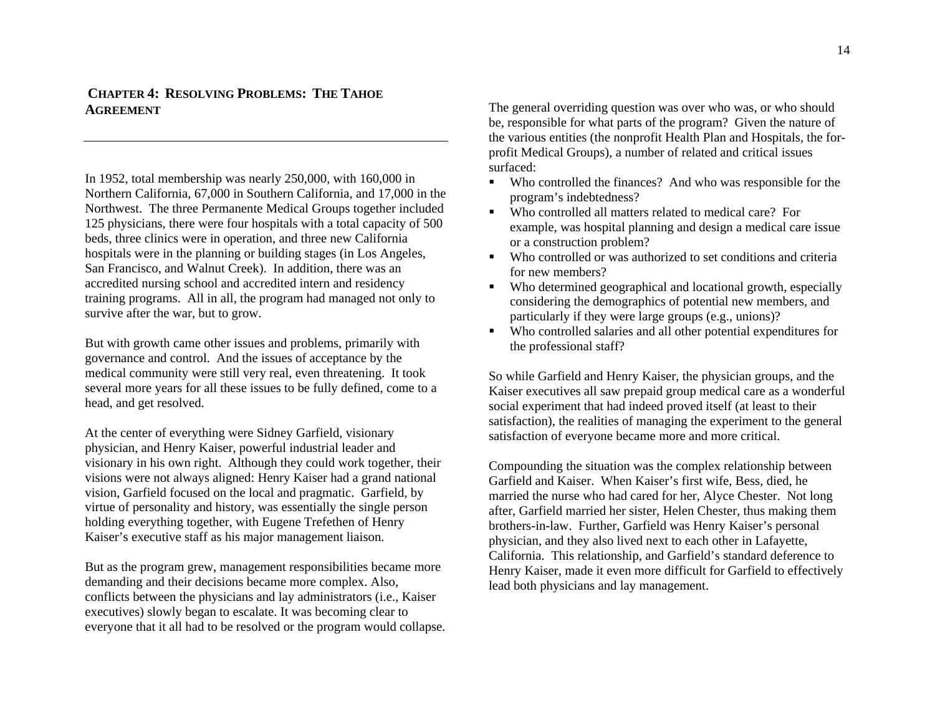# **CHAPTER 4:RESOLVING PROBLEMS: THE TAHOE AGREEMENT**

In 1952, total membership was nearly 250,000, with 160,000 in Northern California, 67,000 in Southern California, and 17,000 in the Northwest. The three Permanente Medical Groups together included 125 physicians, there were four hospitals with a total capacity of 500 beds, three clinics were in operation, and three new California hospitals were in the planning or building stages (in Los Angeles, San Francisco, and Walnut Creek). In addition, there was an accredited nursing school and accredited intern and residency training programs. All in all, the program had managed not only to survive after the war, but to grow.

But with growth came other issues and problems, primarily with governance and control. And the issues of acceptance by the medical community were still very real, even threatening. It took several more years for all these issues to be fully defined, come to a head, and get resolved.

At the center of everything were Sidney Garfield, visionary physician, and Henry Kaiser, powerful industrial leader and visionary in his own right. Although they could work together, their visions were not always aligned: Henry Kaiser had a grand national vision, Garfield focused on the local and pragmatic. Garfield, by virtue of personality and history, was essentially the single person holding everything together, with Eugene Trefethen of Henry Kaiser's executive staff as his major management liaison.

But as the program grew, management responsibilities became more demanding and their decisions became more complex. Also, conflicts between the physicians and lay administrators (i.e., Kaiser executives) slowly began to escalate. It was becoming clear to everyone that it all had to be resolved or the program would collapse. The general overriding question was over who was, or who should be, responsible for what parts of the program? Given the nature of the various entities (the nonprofit Health Plan and Hospitals, the forprofit Medical Groups), a number of related and critical issues surfaced:

- $\blacksquare$  Who controlled the finances? And who was responsible for the program's indebtedness?
- Who controlled all matters related to medical care? For example, was hospital planning and design a medical care issue or a construction problem?
- Who controlled or was authorized to set conditions and criteria for new members?
- $\blacksquare$  Who determined geographical and locational growth, especially considering the demographics of potential new members, and particularly if they were large groups (e.g., unions)?
- Who controlled salaries and all other potential expenditures for the professional staff?

So while Garfield and Henry Kaiser, the physician groups, and the Kaiser executives all saw prepaid group medical care as a wonderful social experiment that had indeed proved itself (at least to their satisfaction), the realities of managing the experiment to the general satisfaction of everyone became more and more critical.

Compounding the situation was the complex relationship between Garfield and Kaiser. When Kaiser's first wife, Bess, died, he married the nurse who had cared for her, Alyce Chester. Not long after, Garfield married her sister, Helen Chester, thus making them brothers-in-law. Further, Garfield was Henry Kaiser's personal physician, and they also lived next to each other in Lafayette, California. This relationship, and Garfield's standard deference to Henry Kaiser, made it even more difficult for Garfield to effectively lead both physicians and lay management.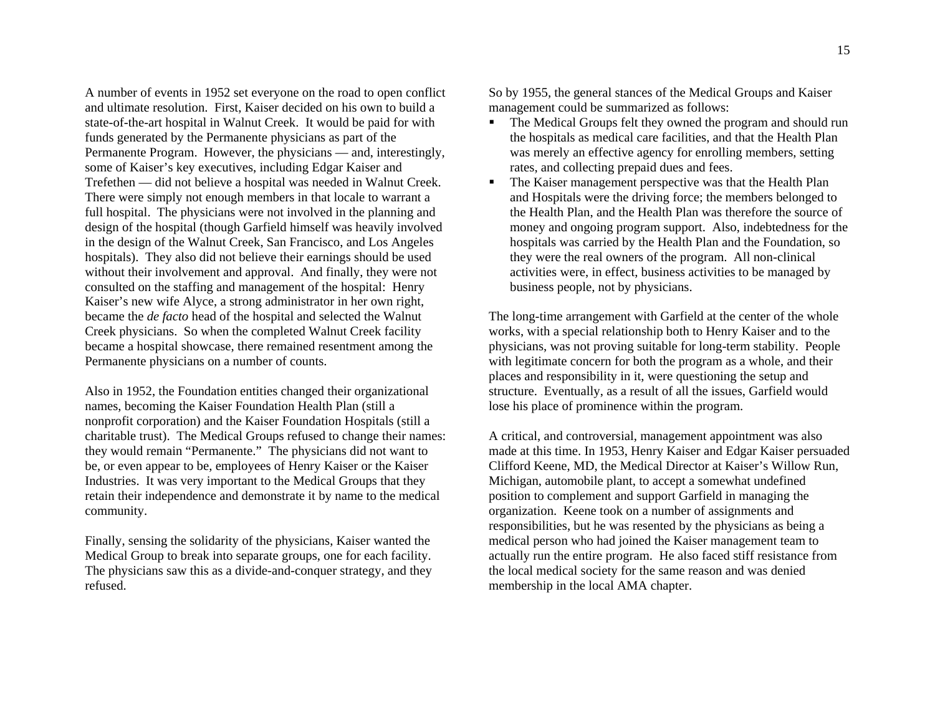A number of events in 1952 set everyone on the road to open conflict and ultimate resolution. First, Kaiser decided on his own to build a state-of-the-art hospital in Walnut Creek. It would be paid for with funds generated by the Permanente physicians as part of the Permanente Program. However, the physicians — and, interestingly, some of Kaiser's key executives, including Edgar Kaiser and Trefethen — did not believe a hospital was needed in Walnut Creek. There were simply not enough members in that locale to warrant a full hospital. The physicians were not involved in the planning and design of the hospital (though Garfield himself was heavily involved in the design of the Walnut Creek, San Francisco, and Los Angeles hospitals). They also did not believe their earnings should be used without their involvement and approval. And finally, they were not consulted on the staffing and management of the hospital: Henry Kaiser's new wife Alyce, a strong administrator in her own right, became the *de facto* head of the hospital and selected the Walnut Creek physicians. So when the completed Walnut Creek facility became a hospital showcase, there remained resentment among the Permanente physicians on a number of counts.

Also in 1952, the Foundation entities changed their organizational names, becoming the Kaiser Foundation Health Plan (still a nonprofit corporation) and the Kaiser Foundation Hospitals (still a charitable trust). The Medical Groups refused to change their names: they would remain "Permanente." The physicians did not want to be, or even appear to be, employees of Henry Kaiser or the Kaiser Industries. It was very important to the Medical Groups that they retain their independence and demonstrate it by name to the medical community.

Finally, sensing the solidarity of the physicians, Kaiser wanted the Medical Group to break into separate groups, one for each facility. The physicians saw this as a divide-and-conquer strategy, and they refused.

So by 1955, the general stances of the Medical Groups and Kaiser management could be summarized as follows:

- $\mathbf{r}$  The Medical Groups felt they owned the program and should run the hospitals as medical care facilities, and that the Health Plan was merely an effective agency for enrolling members, setting rates, and collecting prepaid dues and fees.
- $\blacksquare$  The Kaiser management perspective was that the Health Plan and Hospitals were the driving force; the members belonged to the Health Plan, and the Health Plan was therefore the source of money and ongoing program support. Also, indebtedness for the hospitals was carried by the Health Plan and the Foundation, so they were the real owners of the program. All non-clinical activities were, in effect, business activities to be managed by business people, not by physicians.

The long-time arrangement with Garfield at the center of the whole works, with a special relationship both to Henry Kaiser and to the physicians, was not proving suitable for long-term stability. People with legitimate concern for both the program as a whole, and their places and responsibility in it, were questioning the setup and structure. Eventually, as a result of all the issues, Garfield would lose his place of prominence within the program.

A critical, and controversial, management appointment was also made at this time. In 1953, Henry Kaiser and Edgar Kaiser persuaded Clifford Keene, MD, the Medical Director at Kaiser's Willow Run, Michigan, automobile plant, to accept a somewhat undefined position to complement and support Garfield in managing the organization. Keene took on a number of assignments and responsibilities, but he was resented by the physicians as being a medical person who had joined the Kaiser management team to actually run the entire program. He also faced stiff resistance from the local medical society for the same reason and was denied membership in the local AMA chapter.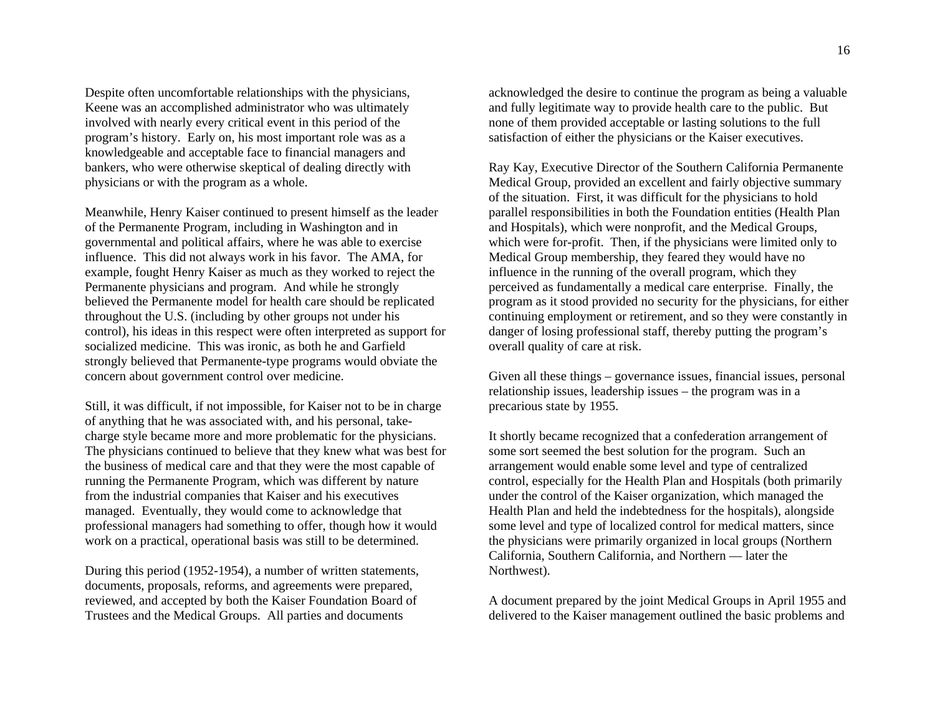Despite often uncomfortable relationships with the physicians, Keene was an accomplished administrator who was ultimately involved with nearly every critical event in this period of the program's history. Early on, his most important role was as a knowledgeable and acceptable face to financial managers and bankers, who were otherwise skeptical of dealing directly with physicians or with the program as a whole.

Meanwhile, Henry Kaiser continued to present himself as the leader of the Permanente Program, including in Washington and in governmental and political affairs, where he was able to exercise influence. This did not always work in his favor. The AMA, for example, fought Henry Kaiser as much as they worked to reject the Permanente physicians and program. And while he strongly believed the Permanente model for health care should be replicated throughout the U.S. (including by other groups not under his control), his ideas in this respect were often interpreted as support for socialized medicine. This was ironic, as both he and Garfield strongly believed that Permanente-type programs would obviate the concern about government control over medicine.

Still, it was difficult, if not impossible, for Kaiser not to be in charge of anything that he was associated with, and his personal, takecharge style became more and more problematic for the physicians. The physicians continued to believe that they knew what was best for the business of medical care and that they were the most capable of running the Permanente Program, which was different by nature from the industrial companies that Kaiser and his executives managed. Eventually, they would come to acknowledge that professional managers had something to offer, though how it would work on a practical, operational basis was still to be determined.

During this period (1952-1954), a number of written statements, documents, proposals, reforms, and agreements were prepared, reviewed, and accepted by both the Kaiser Foundation Board of Trustees and the Medical Groups. All parties and documents

acknowledged the desire to continue the program as being a valuable and fully legitimate way to provide health care to the public. But none of them provided acceptable or lasting solutions to the full satisfaction of either the physicians or the Kaiser executives.

Ray Kay, Executive Director of the Southern California Permanente Medical Group, provided an excellent and fairly objective summary of the situation. First, it was difficult for the physicians to hold parallel responsibilities in both the Foundation entities (Health Plan and Hospitals), which were nonprofit, and the Medical Groups, which were for-profit. Then, if the physicians were limited only to Medical Group membership, they feared they would have no influence in the running of the overall program, which they perceived as fundamentally a medical care enterprise. Finally, the program as it stood provided no security for the physicians, for either continuing employment or retirement, and so they were constantly in danger of losing professional staff, thereby putting the program's overall quality of care at risk.

Given all these things – governance issues, financial issues, personal relationship issues, leadership issues – the program was in a precarious state by 1955.

It shortly became recognized that a confederation arrangement of some sort seemed the best solution for the program. Such an arrangement would enable some level and type of centralized control, especially for the Health Plan and Hospitals (both primarily under the control of the Kaiser organization, which managed the Health Plan and held the indebtedness for the hospitals), alongside some level and type of localized control for medical matters, since the physicians were primarily organized in local groups (Northern California, Southern California, and Northern — later the Northwest).

A document prepared by the joint Medical Groups in April 1955 and delivered to the Kaiser management outlined the basic problems and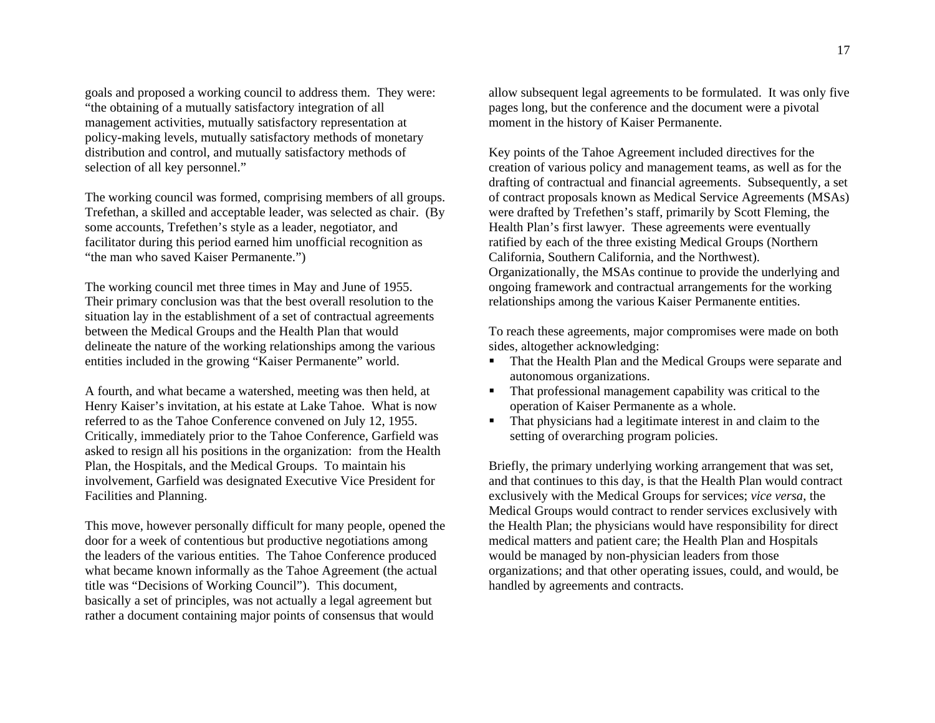goals and proposed a working council to address them. They were: "the obtaining of a mutually satisfactory integration of all management activities, mutually satisfactory representation at policy-making levels, mutually satisfactory methods of monetary distribution and control, and mutually satisfactory methods of selection of all key personnel."

The working council was formed, comprising members of all groups. Trefethan, a skilled and acceptable leader, was selected as chair. (By some accounts, Trefethen's style as a leader, negotiator, and facilitator during this period earned him unofficial recognition as "the man who saved Kaiser Permanente.")

The working council met three times in May and June of 1955. Their primary conclusion was that the best overall resolution to the situation lay in the establishment of a set of contractual agreements between the Medical Groups and the Health Plan that would delineate the nature of the working relationships among the various entities included in the growing "Kaiser Permanente" world.

A fourth, and what became a watershed, meeting was then held, at Henry Kaiser's invitation, at his estate at Lake Tahoe. What is now referred to as the Tahoe Conference convened on July 12, 1955. Critically, immediately prior to the Tahoe Conference, Garfield was asked to resign all his positions in the organization: from the Health Plan, the Hospitals, and the Medical Groups. To maintain his involvement, Garfield was designated Executive Vice President for Facilities and Planning.

This move, however personally difficult for many people, opened the door for a week of contentious but productive negotiations among the leaders of the various entities. The Tahoe Conference produced what became known informally as the Tahoe Agreement (the actual title was "Decisions of Working Council"). This document, basically a set of principles, was not actually a legal agreement but rather a document containing major points of consensus that would

allow subsequent legal agreements to be formulated. It was only five pages long, but the conference and the document were a pivotal moment in the history of Kaiser Permanente.

Key points of the Tahoe Agreement included directives for the creation of various policy and management teams, as well as for the drafting of contractual and financial agreements. Subsequently, a set of contract proposals known as Medical Service Agreements (MSAs) were drafted by Trefethen's staff, primarily by Scott Fleming, the Health Plan's first lawyer. These agreements were eventually ratified by each of the three existing Medical Groups (Northern California, Southern California, and the Northwest). Organizationally, the MSAs continue to provide the underlying and ongoing framework and contractual arrangements for the working relationships among the various Kaiser Permanente entities.

To reach these agreements, major compromises were made on both sides, altogether acknowledging:

- $\mathbf{r}$  . That the Health Plan and the Medical Groups were separate and autonomous organizations.
- That professional management capability was critical to the operation of Kaiser Permanente as a whole.
- $\mathbf{r}$  . That physicians had a legitimate interest in and claim to the setting of overarching program policies.

Briefly, the primary underlying working arrangement that was set, and that continues to this day, is that the Health Plan would contract exclusively with the Medical Groups for services; *vice versa*, the Medical Groups would contract to render services exclusively with the Health Plan; the physicians would have responsibility for direct medical matters and patient care; the Health Plan and Hospitals would be managed by non-physician leaders from those organizations; and that other operating issues, could, and would, be handled by agreements and contracts.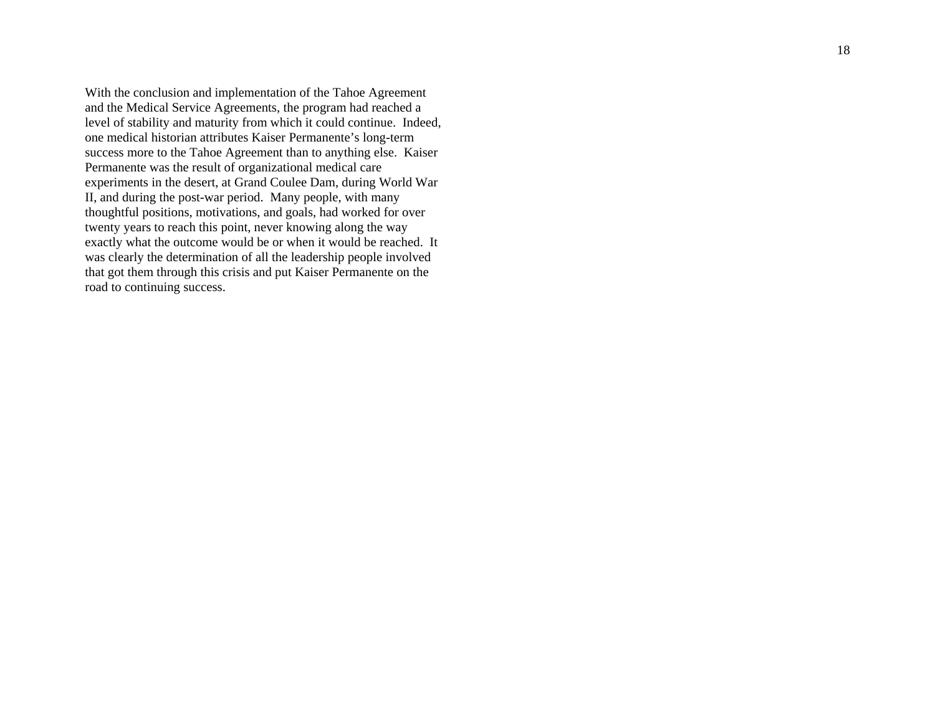With the conclusion and implementation of the Tahoe Agreement and the Medical Service Agreements, the program had reached a level of stability and maturity from which it could continue. Indeed, one medical historian attributes Kaiser Permanente's long-term success more to the Tahoe Agreement than to anything else. Kaiser Permanente was the result of organizational medical care experiments in the desert, at Grand Coulee Dam, during World War II, and during the post-war period. Many people, with many thoughtful positions, motivations, and goals, had worked for over twenty years to reach this point, never knowing along the way exactly what the outcome would be or when it would be reached. It was clearly the determination of all the leadership people involved that got them through this crisis and put Kaiser Permanente on the road to continuing success.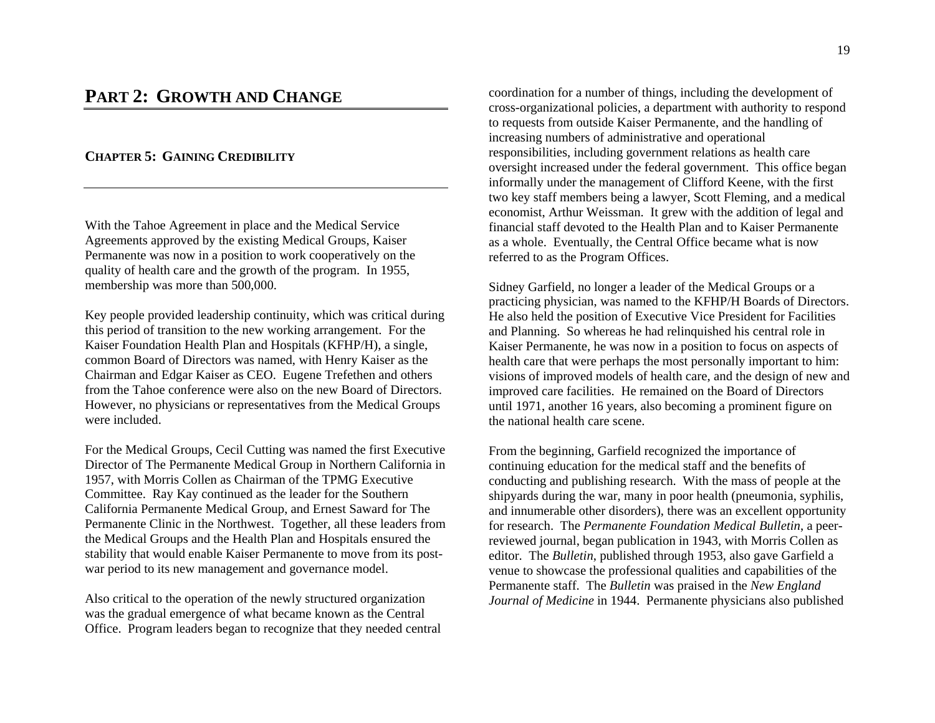# **PART 2:GROWTH AND CHANGE**

## **CHAPTER 5: GAINING CREDIBILITY**

With the Tahoe Agreement in place and the Medical Service Agreements approved by the existing Medical Groups, Kaiser Permanente was now in a position to work cooperatively on the quality of health care and the growth of the program. In 1955, membership was more than 500,000.

Key people provided leadership continuity, which was critical during this period of transition to the new working arrangement. For the Kaiser Foundation Health Plan and Hospitals (KFHP/H), a single, common Board of Directors was named, with Henry Kaiser as the Chairman and Edgar Kaiser as CEO. Eugene Trefethen and others from the Tahoe conference were also on the new Board of Directors. However, no physicians or representatives from the Medical Groups were included.

For the Medical Groups, Cecil Cutting was named the first Executive Director of The Permanente Medical Group in Northern California in 1957, with Morris Collen as Chairman of the TPMG Executive Committee. Ray Kay continued as the leader for the Southern California Permanente Medical Group, and Ernest Saward for The Permanente Clinic in the Northwest. Together, all these leaders from the Medical Groups and the Health Plan and Hospitals ensured the stability that would enable Kaiser Permanente to move from its postwar period to its new management and governance model.

Also critical to the operation of the newly structured organization was the gradual emergence of what became known as the Central Office. Program leaders began to recognize that they needed central coordination for a number of things, including the development of cross-organizational policies, a department with authority to respond to requests from outside Kaiser Permanente, and the handling of increasing numbers of administrative and operational responsibilities, including government relations as health care oversight increased under the federal government. This office began informally under the management of Clifford Keene, with the first two key staff members being a lawyer, Scott Fleming, and a medical economist, Arthur Weissman. It grew with the addition of legal and financial staff devoted to the Health Plan and to Kaiser Permanente as a whole. Eventually, the Central Office became what is now referred to as the Program Offices.

Sidney Garfield, no longer a leader of the Medical Groups or a practicing physician, was named to the KFHP/H Boards of Directors. He also held the position of Executive Vice President for Facilities and Planning. So whereas he had relinquished his central role in Kaiser Permanente, he was now in a position to focus on aspects of health care that were perhaps the most personally important to him: visions of improved models of health care, and the design of new and improved care facilities. He remained on the Board of Directors until 1971, another 16 years, also becoming a prominent figure on the national health care scene.

From the beginning, Garfield recognized the importance of continuing education for the medical staff and the benefits of conducting and publishing research. With the mass of people at the shipyards during the war, many in poor health (pneumonia, syphilis, and innumerable other disorders), there was an excellent opportunity for research. The *Permanente Foundation Medical Bulletin*, a peerreviewed journal, began publication in 1943, with Morris Collen as editor. The *Bulletin*, published through 1953, also gave Garfield a venue to showcase the professional qualities and capabilities of the Permanente staff. The *Bulletin* was praised in the *New England Journal of Medicine* in 1944. Permanente physicians also published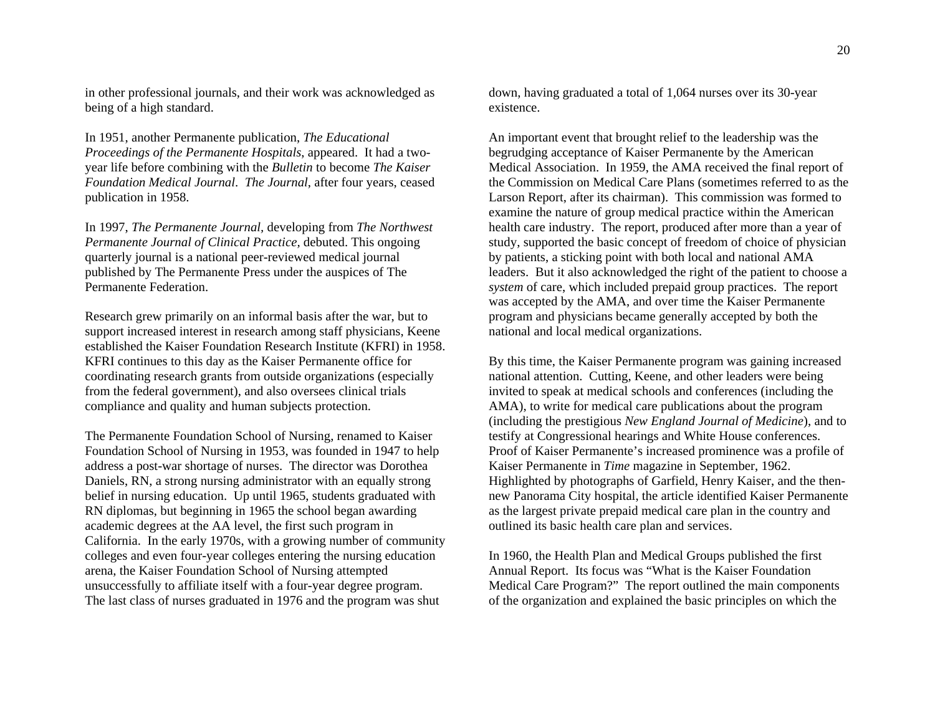in other professional journals, and their work was acknowledged as being of a high standard.

In 1951, another Permanente publication, *The Educational Proceedings of the Permanente Hospitals*, appeared. It had a twoyear life before combining with the *Bulletin* to become *The Kaiser Foundation Medical Journal*. *The Journal*, after four years, ceased publication in 1958.

In 1997, *The Permanente Journal,* developing from *The Northwest Permanente Journal of Clinical Practice,* debuted. This ongoing quarterly journal is a national peer-reviewed medical journal published by The Permanente Press under the auspices of The Permanente Federation.

Research grew primarily on an informal basis after the war, but to support increased interest in research among staff physicians, Keene established the Kaiser Foundation Research Institute (KFRI) in 1958. KFRI continues to this day as the Kaiser Permanente office for coordinating research grants from outside organizations (especially from the federal government), and also oversees clinical trials compliance and quality and human subjects protection.

The Permanente Foundation School of Nursing, renamed to Kaiser Foundation School of Nursing in 1953, was founded in 1947 to help address a post-war shortage of nurses. The director was Dorothea Daniels, RN, a strong nursing administrator with an equally strong belief in nursing education. Up until 1965, students graduated with RN diplomas, but beginning in 1965 the school began awarding academic degrees at the AA level, the first such program in California. In the early 1970s, with a growing number of community colleges and even four-year colleges entering the nursing education arena, the Kaiser Foundation School of Nursing attempted unsuccessfully to affiliate itself with a four-year degree program. The last class of nurses graduated in 1976 and the program was shut

down, having graduated a total of 1,064 nurses over its 30-year existence.

An important event that brought relief to the leadership was the begrudging acceptance of Kaiser Permanente by the American Medical Association. In 1959, the AMA received the final report of the Commission on Medical Care Plans (sometimes referred to as the Larson Report, after its chairman). This commission was formed to examine the nature of group medical practice within the American health care industry. The report, produced after more than a year of study, supported the basic concept of freedom of choice of physician by patients, a sticking point with both local and national AMA leaders. But it also acknowledged the right of the patient to choose a *system* of care, which included prepaid group practices. The report was accepted by the AMA, and over time the Kaiser Permanente program and physicians became generally accepted by both the national and local medical organizations.

By this time, the Kaiser Permanente program was gaining increased national attention. Cutting, Keene, and other leaders were being invited to speak at medical schools and conferences (including the AMA), to write for medical care publications about the program (including the prestigious *New England Journal of Medicine*), and to testify at Congressional hearings and White House conferences. Proof of Kaiser Permanente's increased prominence was a profile of Kaiser Permanente in *Time* magazine in September, 1962. Highlighted by photographs of Garfield, Henry Kaiser, and the thennew Panorama City hospital, the article identified Kaiser Permanente as the largest private prepaid medical care plan in the country and outlined its basic health care plan and services.

In 1960, the Health Plan and Medical Groups published the first Annual Report. Its focus was "What is the Kaiser Foundation Medical Care Program?" The report outlined the main components of the organization and explained the basic principles on which the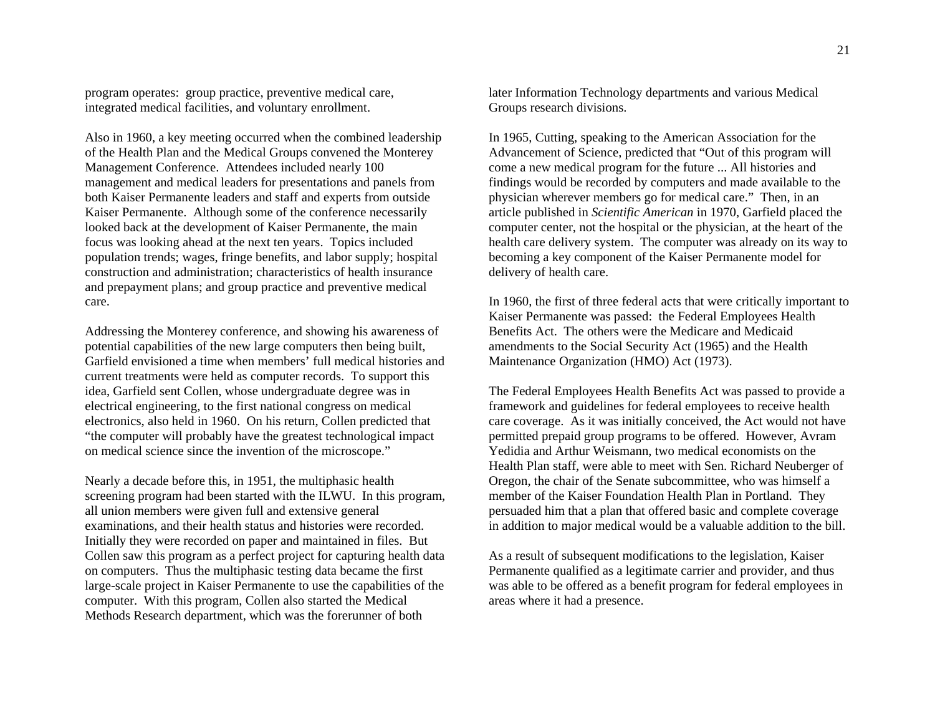program operates: group practice, preventive medical care, integrated medical facilities, and voluntary enrollment.

Also in 1960, a key meeting occurred when the combined leadership of the Health Plan and the Medical Groups convened the Monterey Management Conference. Attendees included nearly 100 management and medical leaders for presentations and panels from both Kaiser Permanente leaders and staff and experts from outside Kaiser Permanente. Although some of the conference necessarily looked back at the development of Kaiser Permanente, the main focus was looking ahead at the next ten years. Topics included population trends; wages, fringe benefits, and labor supply; hospital construction and administration; characteristics of health insurance and prepayment plans; and group practice and preventive medical care.

Addressing the Monterey conference, and showing his awareness of potential capabilities of the new large computers then being built, Garfield envisioned a time when members' full medical histories and current treatments were held as computer records. To support this idea, Garfield sent Collen, whose undergraduate degree was in electrical engineering, to the first national congress on medical electronics, also held in 1960. On his return, Collen predicted that "the computer will probably have the greatest technological impact on medical science since the invention of the microscope."

Nearly a decade before this, in 1951, the multiphasic health screening program had been started with the ILWU. In this program, all union members were given full and extensive general examinations, and their health status and histories were recorded. Initially they were recorded on paper and maintained in files. But Collen saw this program as a perfect project for capturing health data on computers. Thus the multiphasic testing data became the first large-scale project in Kaiser Permanente to use the capabilities of the computer. With this program, Collen also started the Medical Methods Research department, which was the forerunner of both

later Information Technology departments and various Medical Groups research divisions.

In 1965, Cutting, speaking to the American Association for the Advancement of Science, predicted that "Out of this program will come a new medical program for the future ... All histories and findings would be recorded by computers and made available to the physician wherever members go for medical care." Then, in an article published in *Scientific American* in 1970, Garfield placed the computer center, not the hospital or the physician, at the heart of the health care delivery system. The computer was already on its way to becoming a key component of the Kaiser Permanente model for delivery of health care.

In 1960, the first of three federal acts that were critically important to Kaiser Permanente was passed: the Federal Employees Health Benefits Act. The others were the Medicare and Medicaid amendments to the Social Security Act (1965) and the Health Maintenance Organization (HMO) Act (1973).

The Federal Employees Health Benefits Act was passed to provide a framework and guidelines for federal employees to receive health care coverage. As it was initially conceived, the Act would not have permitted prepaid group programs to be offered. However, Avram Yedidia and Arthur Weismann, two medical economists on the Health Plan staff, were able to meet with Sen. Richard Neuberger of Oregon, the chair of the Senate subcommittee, who was himself a member of the Kaiser Foundation Health Plan in Portland. They persuaded him that a plan that offered basic and complete coverage in addition to major medical would be a valuable addition to the bill.

As a result of subsequent modifications to the legislation, Kaiser Permanente qualified as a legitimate carrier and provider, and thus was able to be offered as a benefit program for federal employees in areas where it had a presence.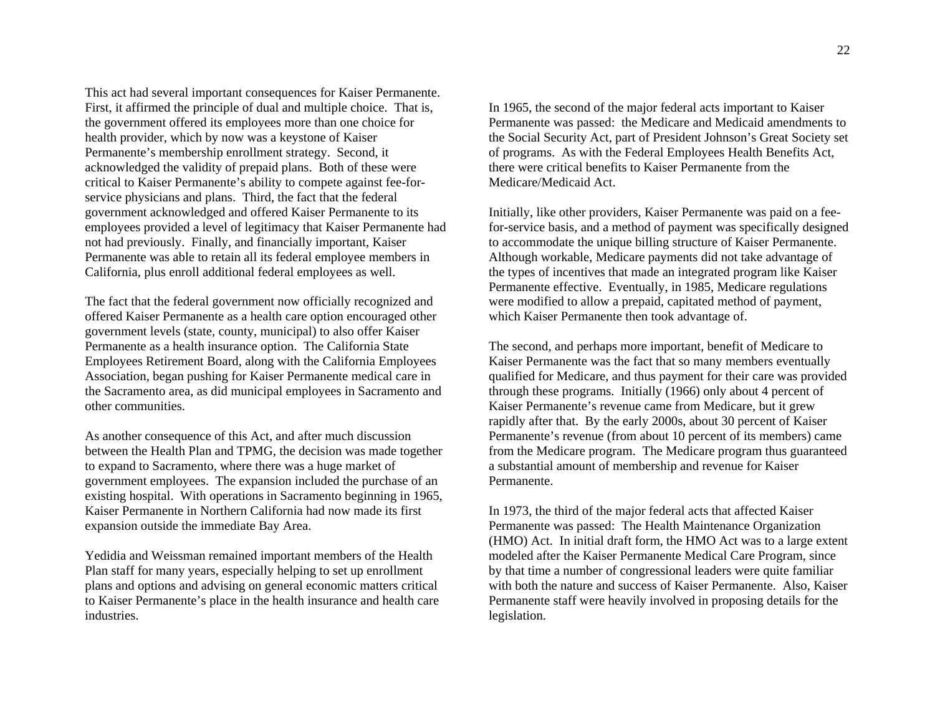This act had several important consequences for Kaiser Permanente. First, it affirmed the principle of dual and multiple choice. That is, the government offered its employees more than one choice for health provider, which by now was a keystone of Kaiser Permanente's membership enrollment strategy. Second, it acknowledged the validity of prepaid plans. Both of these were critical to Kaiser Permanente's ability to compete against fee-forservice physicians and plans. Third, the fact that the federal government acknowledged and offered Kaiser Permanente to its employees provided a level of legitimacy that Kaiser Permanente had not had previously. Finally, and financially important, Kaiser Permanente was able to retain all its federal employee members in California, plus enroll additional federal employees as well.

The fact that the federal government now officially recognized and offered Kaiser Permanente as a health care option encouraged other government levels (state, county, municipal) to also offer Kaiser Permanente as a health insurance option. The California State Employees Retirement Board, along with the California Employees Association, began pushing for Kaiser Permanente medical care in the Sacramento area, as did municipal employees in Sacramento and other communities.

As another consequence of this Act, and after much discussion between the Health Plan and TPMG, the decision was made together to expand to Sacramento, where there was a huge market of government employees. The expansion included the purchase of an existing hospital. With operations in Sacramento beginning in 1965, Kaiser Permanente in Northern California had now made its first expansion outside the immediate Bay Area.

Yedidia and Weissman remained important members of the Health Plan staff for many years, especially helping to set up enrollment plans and options and advising on general economic matters critical to Kaiser Permanente's place in the health insurance and health care industries.

In 1965, the second of the major federal acts important to Kaiser Permanente was passed: the Medicare and Medicaid amendments to the Social Security Act, part of President Johnson's Great Society set of programs. As with the Federal Employees Health Benefits Act, there were critical benefits to Kaiser Permanente from the Medicare/Medicaid Act.

Initially, like other providers, Kaiser Permanente was paid on a feefor-service basis, and a method of payment was specifically designed to accommodate the unique billing structure of Kaiser Permanente. Although workable, Medicare payments did not take advantage of the types of incentives that made an integrated program like Kaiser Permanente effective. Eventually, in 1985, Medicare regulations were modified to allow a prepaid, capitated method of payment, which Kaiser Permanente then took advantage of.

The second, and perhaps more important, benefit of Medicare to Kaiser Permanente was the fact that so many members eventually qualified for Medicare, and thus payment for their care was provided through these programs. Initially (1966) only about 4 percent of Kaiser Permanente's revenue came from Medicare, but it grew rapidly after that. By the early 2000s, about 30 percent of Kaiser Permanente's revenue (from about 10 percent of its members) came from the Medicare program. The Medicare program thus guaranteed a substantial amount of membership and revenue for Kaiser Permanente.

In 1973, the third of the major federal acts that affected Kaiser Permanente was passed: The Health Maintenance Organization (HMO) Act. In initial draft form, the HMO Act was to a large extent modeled after the Kaiser Permanente Medical Care Program, since by that time a number of congressional leaders were quite familiar with both the nature and success of Kaiser Permanente. Also, Kaiser Permanente staff were heavily involved in proposing details for the legislation.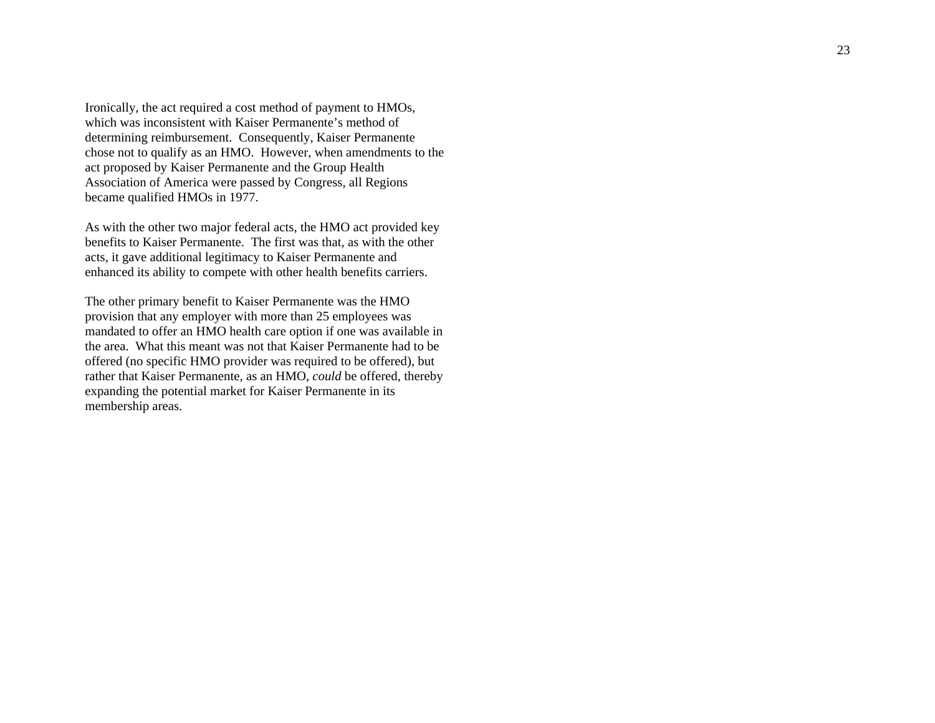Ironically, the act required a cost method of payment to HMOs, which was inconsistent with Kaiser Permanente's method of determining reimbursement. Consequently, Kaiser Permanente chose not to qualify as an HMO. However, when amendments to the act proposed by Kaiser Permanente and the Group Health Association of America were passed by Congress, all Regions became qualified HMOs in 1977.

As with the other two major federal acts, the HMO act provided key benefits to Kaiser Permanente. The first was that, as with the other acts, it gave additional legitimacy to Kaiser Permanente and enhanced its ability to compete with other health benefits carriers.

The other primary benefit to Kaiser Permanente was the HMO provision that any employer with more than 25 employees was mandated to offer an HMO health care option if one was available in the area. What this meant was not that Kaiser Permanente had to be offered (no specific HMO provider was required to be offered), but rather that Kaiser Permanente, as an HMO, *could* be offered, thereby expanding the potential market for Kaiser Permanente in its membership areas.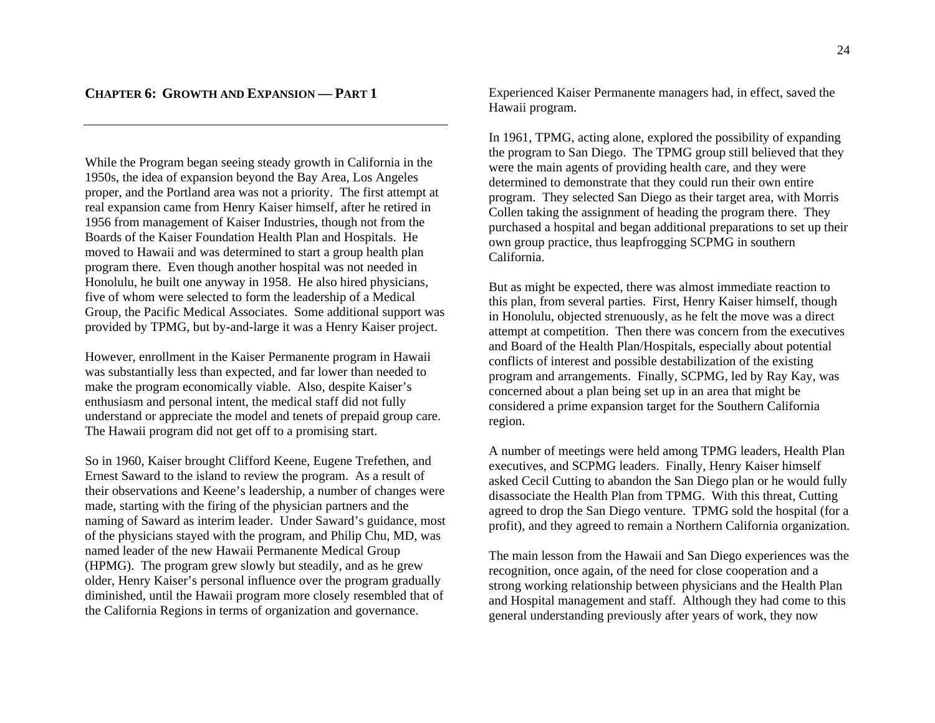While the Program began seeing steady growth in California in the 1950s, the idea of expansion beyond the Bay Area, Los Angeles proper, and the Portland area was not a priority. The first attempt at real expansion came from Henry Kaiser himself, after he retired in 1956 from management of Kaiser Industries, though not from the Boards of the Kaiser Foundation Health Plan and Hospitals. He moved to Hawaii and was determined to start a group health plan program there. Even though another hospital was not needed in Honolulu, he built one anyway in 1958. He also hired physicians, five of whom were selected to form the leadership of a Medical Group, the Pacific Medical Associates. Some additional support was provided by TPMG, but by-and-large it was a Henry Kaiser project.

However, enrollment in the Kaiser Permanente program in Hawaii was substantially less than expected, and far lower than needed to make the program economically viable. Also, despite Kaiser's enthusiasm and personal intent, the medical staff did not fully understand or appreciate the model and tenets of prepaid group care. The Hawaii program did not get off to a promising start.

So in 1960, Kaiser brought Clifford Keene, Eugene Trefethen, and Ernest Saward to the island to review the program. As a result of their observations and Keene's leadership, a number of changes were made, starting with the firing of the physician partners and the naming of Saward as interim leader. Under Saward's guidance, most of the physicians stayed with the program, and Philip Chu, MD, was named leader of the new Hawaii Permanente Medical Group (HPMG). The program grew slowly but steadily, and as he grew older, Henry Kaiser's personal influence over the program gradually diminished, until the Hawaii program more closely resembled that of the California Regions in terms of organization and governance.

Experienced Kaiser Permanente managers had, in effect, saved the Hawaii program.

In 1961, TPMG, acting alone, explored the possibility of expanding the program to San Diego. The TPMG group still believed that they were the main agents of providing health care, and they were determined to demonstrate that they could run their own entire program. They selected San Diego as their target area, with Morris Collen taking the assignment of heading the program there. They purchased a hospital and began additional preparations to set up their own group practice, thus leapfrogging SCPMG in southern California.

But as might be expected, there was almost immediate reaction to this plan, from several parties. First, Henry Kaiser himself, though in Honolulu, objected strenuously, as he felt the move was a direct attempt at competition. Then there was concern from the executives and Board of the Health Plan/Hospitals, especially about potential conflicts of interest and possible destabilization of the existing program and arrangements. Finally, SCPMG, led by Ray Kay, was concerned about a plan being set up in an area that might be considered a prime expansion target for the Southern California region.

A number of meetings were held among TPMG leaders, Health Plan executives, and SCPMG leaders. Finally, Henry Kaiser himself asked Cecil Cutting to abandon the San Diego plan or he would fully disassociate the Health Plan from TPMG. With this threat, Cutting agreed to drop the San Diego venture. TPMG sold the hospital (for a profit), and they agreed to remain a Northern California organization.

The main lesson from the Hawaii and San Diego experiences was the recognition, once again, of the need for close cooperation and a strong working relationship between physicians and the Health Plan and Hospital management and staff. Although they had come to this general understanding previously after years of work, they now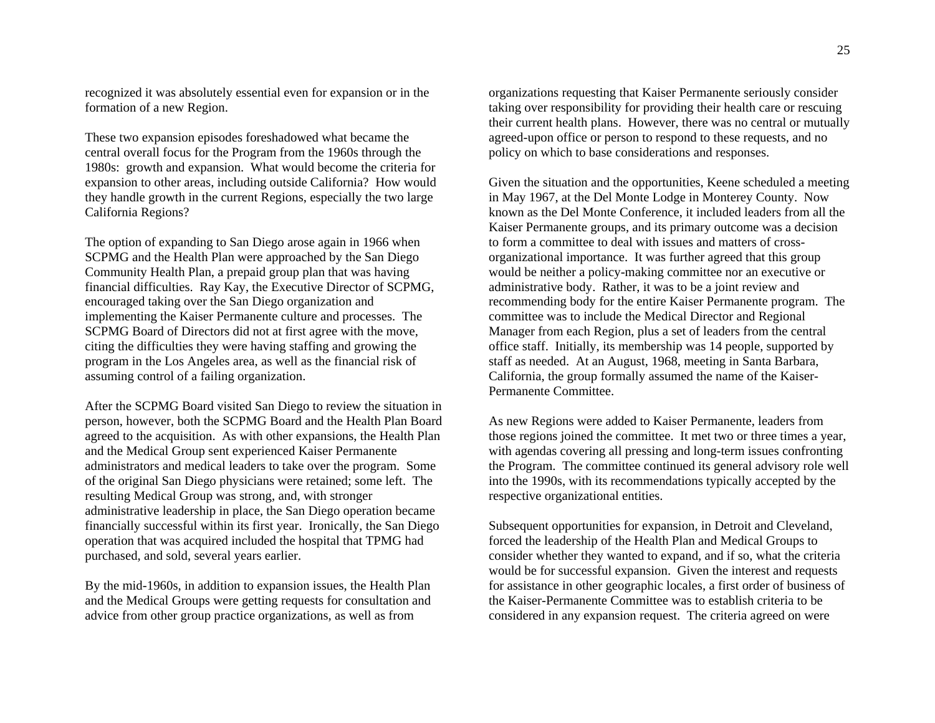recognized it was absolutely essential even for expansion or in the formation of a new Region.

These two expansion episodes foreshadowed what became the central overall focus for the Program from the 1960s through the 1980s: growth and expansion. What would become the criteria for expansion to other areas, including outside California? How would they handle growth in the current Regions, especially the two large California Regions?

The option of expanding to San Diego arose again in 1966 when SCPMG and the Health Plan were approached by the San Diego Community Health Plan, a prepaid group plan that was having financial difficulties. Ray Kay, the Executive Director of SCPMG, encouraged taking over the San Diego organization and implementing the Kaiser Permanente culture and processes. The SCPMG Board of Directors did not at first agree with the move, citing the difficulties they were having staffing and growing the program in the Los Angeles area, as well as the financial risk of assuming control of a failing organization.

After the SCPMG Board visited San Diego to review the situation in person, however, both the SCPMG Board and the Health Plan Board agreed to the acquisition. As with other expansions, the Health Plan and the Medical Group sent experienced Kaiser Permanente administrators and medical leaders to take over the program. Some of the original San Diego physicians were retained; some left. The resulting Medical Group was strong, and, with stronger administrative leadership in place, the San Diego operation became financially successful within its first year. Ironically, the San Diego operation that was acquired included the hospital that TPMG had purchased, and sold, several years earlier.

By the mid-1960s, in addition to expansion issues, the Health Plan and the Medical Groups were getting requests for consultation and advice from other group practice organizations, as well as from

organizations requesting that Kaiser Permanente seriously consider taking over responsibility for providing their health care or rescuing their current health plans. However, there was no central or mutually agreed-upon office or person to respond to these requests, and no policy on which to base considerations and responses.

Given the situation and the opportunities, Keene scheduled a meeting in May 1967, at the Del Monte Lodge in Monterey County. Now known as the Del Monte Conference, it included leaders from all the Kaiser Permanente groups, and its primary outcome was a decision to form a committee to deal with issues and matters of crossorganizational importance. It was further agreed that this group would be neither a policy-making committee nor an executive or administrative body. Rather, it was to be a joint review and recommending body for the entire Kaiser Permanente program. The committee was to include the Medical Director and Regional Manager from each Region, plus a set of leaders from the central office staff. Initially, its membership was 14 people, supported by staff as needed. At an August, 1968, meeting in Santa Barbara, California, the group formally assumed the name of the Kaiser-Permanente Committee.

As new Regions were added to Kaiser Permanente, leaders from those regions joined the committee. It met two or three times a year, with agendas covering all pressing and long-term issues confronting the Program. The committee continued its general advisory role well into the 1990s, with its recommendations typically accepted by the respective organizational entities.

Subsequent opportunities for expansion, in Detroit and Cleveland, forced the leadership of the Health Plan and Medical Groups to consider whether they wanted to expand, and if so, what the criteria would be for successful expansion. Given the interest and requests for assistance in other geographic locales, a first order of business of the Kaiser-Permanente Committee was to establish criteria to be considered in any expansion request. The criteria agreed on were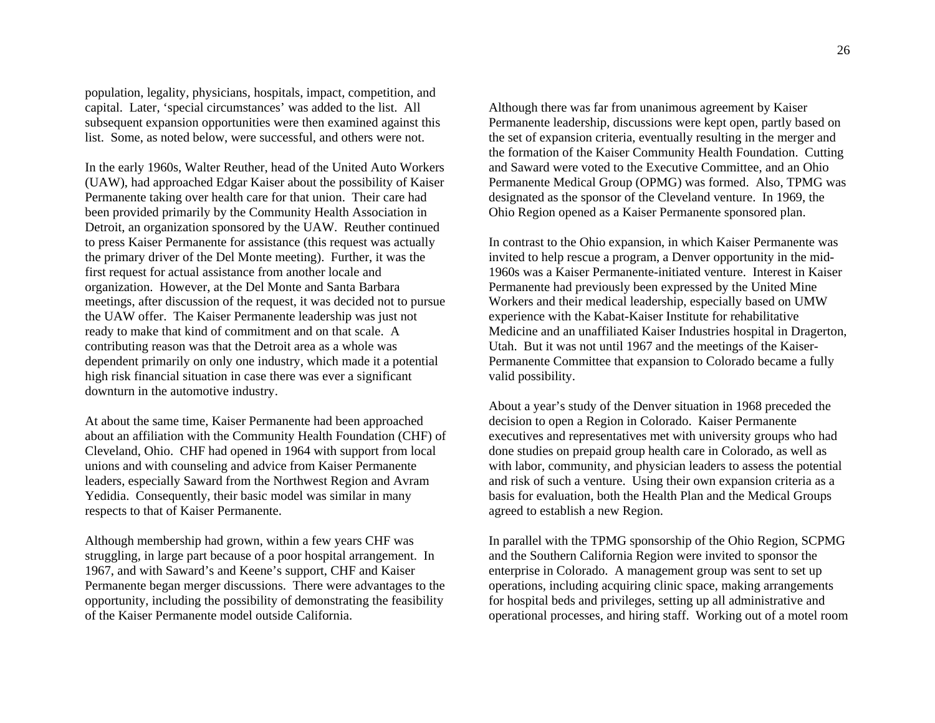population, legality, physicians, hospitals, impact, competition, and capital. Later, 'special circumstances' was added to the list. All subsequent expansion opportunities were then examined against this list. Some, as noted below, were successful, and others were not.

In the early 1960s, Walter Reuther, head of the United Auto Workers (UAW), had approached Edgar Kaiser about the possibility of Kaiser Permanente taking over health care for that union. Their care had been provided primarily by the Community Health Association in Detroit, an organization sponsored by the UAW. Reuther continued to press Kaiser Permanente for assistance (this request was actually the primary driver of the Del Monte meeting). Further, it was the first request for actual assistance from another locale and organization. However, at the Del Monte and Santa Barbara meetings, after discussion of the request, it was decided not to pursue the UAW offer. The Kaiser Permanente leadership was just not ready to make that kind of commitment and on that scale. A contributing reason was that the Detroit area as a whole was dependent primarily on only one industry, which made it a potential high risk financial situation in case there was ever a significant downturn in the automotive industry.

At about the same time, Kaiser Permanente had been approached about an affiliation with the Community Health Foundation (CHF) of Cleveland, Ohio. CHF had opened in 1964 with support from local unions and with counseling and advice from Kaiser Permanente leaders, especially Saward from the Northwest Region and Avram Yedidia. Consequently, their basic model was similar in many respects to that of Kaiser Permanente.

Although membership had grown, within a few years CHF was struggling, in large part because of a poor hospital arrangement. In 1967, and with Saward's and Keene's support, CHF and Kaiser Permanente began merger discussions. There were advantages to the opportunity, including the possibility of demonstrating the feasibility of the Kaiser Permanente model outside California.

Although there was far from unanimous agreement by Kaiser Permanente leadership, discussions were kept open, partly based on the set of expansion criteria, eventually resulting in the merger and the formation of the Kaiser Community Health Foundation. Cutting and Saward were voted to the Executive Committee, and an Ohio Permanente Medical Group (OPMG) was formed. Also, TPMG was designated as the sponsor of the Cleveland venture. In 1969, the Ohio Region opened as a Kaiser Permanente sponsored plan.

In contrast to the Ohio expansion, in which Kaiser Permanente was invited to help rescue a program, a Denver opportunity in the mid-1960s was a Kaiser Permanente-initiated venture. Interest in Kaiser Permanente had previously been expressed by the United Mine Workers and their medical leadership, especially based on UMW experience with the Kabat-Kaiser Institute for rehabilitative Medicine and an unaffiliated Kaiser Industries hospital in Dragerton, Utah. But it was not until 1967 and the meetings of the Kaiser-Permanente Committee that expansion to Colorado became a fully valid possibility.

About a year's study of the Denver situation in 1968 preceded the decision to open a Region in Colorado. Kaiser Permanente executives and representatives met with university groups who had done studies on prepaid group health care in Colorado, as well as with labor, community, and physician leaders to assess the potential and risk of such a venture. Using their own expansion criteria as a basis for evaluation, both the Health Plan and the Medical Groups agreed to establish a new Region.

In parallel with the TPMG sponsorship of the Ohio Region, SCPMG and the Southern California Region were invited to sponsor the enterprise in Colorado. A management group was sent to set up operations, including acquiring clinic space, making arrangements for hospital beds and privileges, setting up all administrative and operational processes, and hiring staff. Working out of a motel room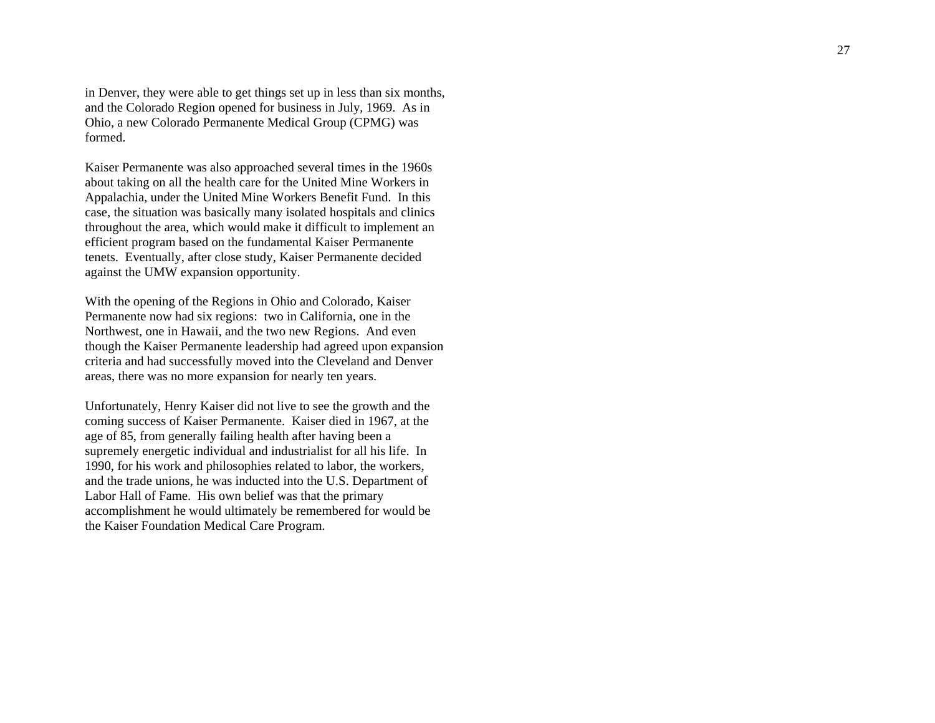in Denver, they were able to get things set up in less than six months, and the Colorado Region opened for business in July, 1969. As in Ohio, a new Colorado Permanente Medical Group (CPMG) was formed.

Kaiser Permanente was also approached several times in the 1960s about taking on all the health care for the United Mine Workers in Appalachia, under the United Mine Workers Benefit Fund. In this case, the situation was basically many isolated hospitals and clinics throughout the area, which would make it difficult to implement an efficient program based on the fundamental Kaiser Permanente tenets. Eventually, after close study, Kaiser Permanente decided against the UMW expansion opportunity.

With the opening of the Regions in Ohio and Colorado, Kaiser Permanente now had six regions: two in California, one in the Northwest, one in Hawaii, and the two new Regions. And even though the Kaiser Permanente leadership had agreed upon expansion criteria and had successfully moved into the Cleveland and Denver areas, there was no more expansion for nearly ten years.

Unfortunately, Henry Kaiser did not live to see the growth and the coming success of Kaiser Permanente. Kaiser died in 1967, at the age of 85, from generally failing health after having been a supremely energetic individual and industrialist for all his life. In 1990, for his work and philosophies related to labor, the workers, and the trade unions, he was inducted into the U.S. Department of Labor Hall of Fame. His own belief was that the primary accomplishment he would ultimately be remembered for would be the Kaiser Foundation Medical Care Program.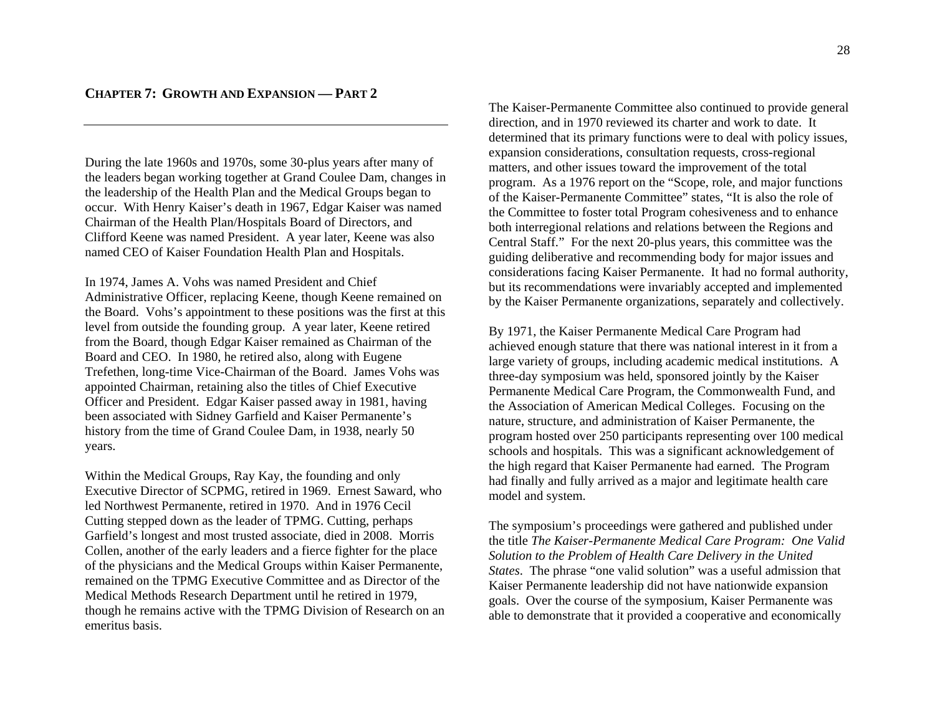During the late 1960s and 1970s, some 30-plus years after many of the leaders began working together at Grand Coulee Dam, changes in the leadership of the Health Plan and the Medical Groups began to occur. With Henry Kaiser's death in 1967, Edgar Kaiser was named Chairman of the Health Plan/Hospitals Board of Directors, and Clifford Keene was named President. A year later, Keene was also named CEO of Kaiser Foundation Health Plan and Hospitals.

In 1974, James A. Vohs was named President and Chief Administrative Officer, replacing Keene, though Keene remained on the Board. Vohs's appointment to these positions was the first at this level from outside the founding group. A year later, Keene retired from the Board, though Edgar Kaiser remained as Chairman of the Board and CEO. In 1980, he retired also, along with Eugene Trefethen, long-time Vice-Chairman of the Board. James Vohs was appointed Chairman, retaining also the titles of Chief Executive Officer and President. Edgar Kaiser passed away in 1981, having been associated with Sidney Garfield and Kaiser Permanente's history from the time of Grand Coulee Dam, in 1938, nearly 50 years.

Within the Medical Groups, Ray Kay, the founding and only Executive Director of SCPMG, retired in 1969. Ernest Saward, who led Northwest Permanente, retired in 1970. And in 1976 Cecil Cutting stepped down as the leader of TPMG. Cutting, perhaps Garfield's longest and most trusted associate, died in 2008. Morris Collen, another of the early leaders and a fierce fighter for the place of the physicians and the Medical Groups within Kaiser Permanente, remained on the TPMG Executive Committee and as Director of the Medical Methods Research Department until he retired in 1979, though he remains active with the TPMG Division of Research on an emeritus basis.

The Kaiser-Permanente Committee also continued to provide general direction, and in 1970 reviewed its charter and work to date. It determined that its primary functions were to deal with policy issues, expansion considerations, consultation requests, cross-regional matters, and other issues toward the improvement of the total program. As a 1976 report on the "Scope, role, and major functions of the Kaiser-Permanente Committee" states, "It is also the role of the Committee to foster total Program cohesiveness and to enhance both interregional relations and relations between the Regions and Central Staff." For the next 20-plus years, this committee was the guiding deliberative and recommending body for major issues and considerations facing Kaiser Permanente. It had no formal authority, but its recommendations were invariably accepted and implemented by the Kaiser Permanente organizations, separately and collectively.

By 1971, the Kaiser Permanente Medical Care Program had achieved enough stature that there was national interest in it from a large variety of groups, including academic medical institutions. A three-day symposium was held, sponsored jointly by the Kaiser Permanente Medical Care Program, the Commonwealth Fund, and the Association of American Medical Colleges. Focusing on the nature, structure, and administration of Kaiser Permanente, the program hosted over 250 participants representing over 100 medical schools and hospitals. This was a significant acknowledgement of the high regard that Kaiser Permanente had earned. The Program had finally and fully arrived as a major and legitimate health care model and system.

The symposium's proceedings were gathered and published under the title *The Kaiser-Permanente Medical Care Program: One Valid Solution to the Problem of Health Care Delivery in the United States*. The phrase "one valid solution" was a useful admission that Kaiser Permanente leadership did not have nationwide expansion goals. Over the course of the symposium, Kaiser Permanente was able to demonstrate that it provided a cooperative and economically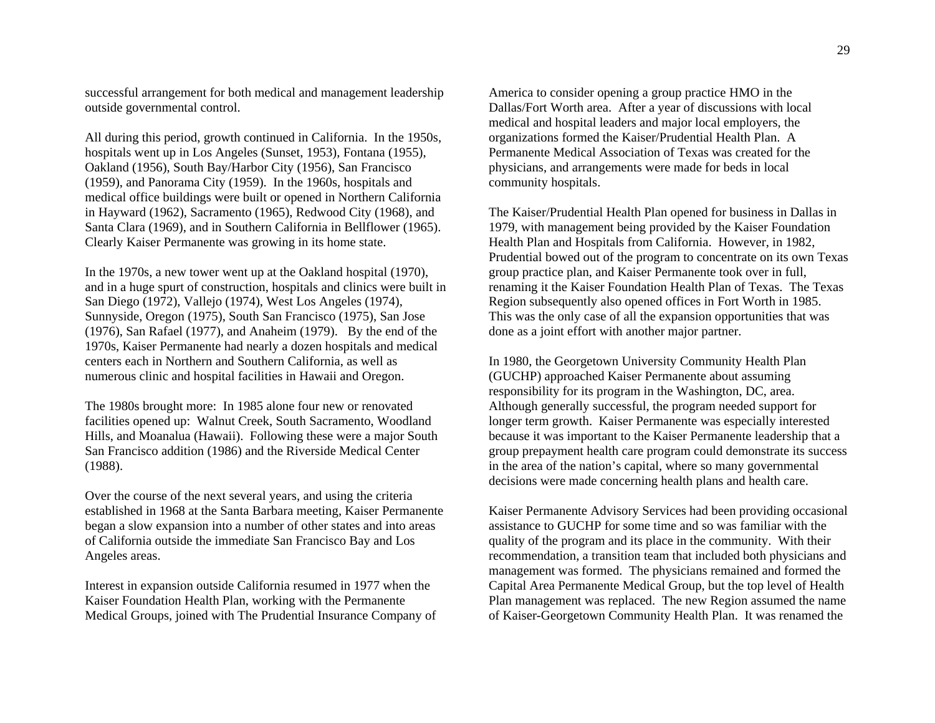successful arrangement for both medical and management leadership outside governmental control.

All during this period, growth continued in California. In the 1950s, hospitals went up in Los Angeles (Sunset, 1953), Fontana (1955), Oakland (1956), South Bay/Harbor City (1956), San Francisco (1959), and Panorama City (1959). In the 1960s, hospitals and medical office buildings were built or opened in Northern California in Hayward (1962), Sacramento (1965), Redwood City (1968), and Santa Clara (1969), and in Southern California in Bellflower (1965). Clearly Kaiser Permanente was growing in its home state.

In the 1970s, a new tower went up at the Oakland hospital (1970), and in a huge spurt of construction, hospitals and clinics were built in San Diego (1972), Vallejo (1974), West Los Angeles (1974), Sunnyside, Oregon (1975), South San Francisco (1975), San Jose (1976), San Rafael (1977), and Anaheim (1979). By the end of the 1970s, Kaiser Permanente had nearly a dozen hospitals and medical centers each in Northern and Southern California, as well as numerous clinic and hospital facilities in Hawaii and Oregon.

The 1980s brought more: In 1985 alone four new or renovated facilities opened up: Walnut Creek, South Sacramento, Woodland Hills, and Moanalua (Hawaii). Following these were a major South San Francisco addition (1986) and the Riverside Medical Center (1988).

Over the course of the next several years, and using the criteria established in 1968 at the Santa Barbara meeting, Kaiser Permanente began a slow expansion into a number of other states and into areas of California outside the immediate San Francisco Bay and Los Angeles areas.

Interest in expansion outside California resumed in 1977 when the Kaiser Foundation Health Plan, working with the Permanente Medical Groups, joined with The Prudential Insurance Company of

America to consider opening a group practice HMO in the Dallas/Fort Worth area. After a year of discussions with local medical and hospital leaders and major local employers, the organizations formed the Kaiser/Prudential Health Plan. A Permanente Medical Association of Texas was created for the physicians, and arrangements were made for beds in local community hospitals.

The Kaiser/Prudential Health Plan opened for business in Dallas in 1979, with management being provided by the Kaiser Foundation Health Plan and Hospitals from California. However, in 1982, Prudential bowed out of the program to concentrate on its own Texas group practice plan, and Kaiser Permanente took over in full, renaming it the Kaiser Foundation Health Plan of Texas. The Texas Region subsequently also opened offices in Fort Worth in 1985. This was the only case of all the expansion opportunities that was done as a joint effort with another major partner.

In 1980, the Georgetown University Community Health Plan (GUCHP) approached Kaiser Permanente about assuming responsibility for its program in the Washington, DC, area. Although generally successful, the program needed support for longer term growth. Kaiser Permanente was especially interested because it was important to the Kaiser Permanente leadership that a group prepayment health care program could demonstrate its success in the area of the nation's capital, where so many governmental decisions were made concerning health plans and health care.

Kaiser Permanente Advisory Services had been providing occasional assistance to GUCHP for some time and so was familiar with the quality of the program and its place in the community. With their recommendation, a transition team that included both physicians and management was formed. The physicians remained and formed the Capital Area Permanente Medical Group, but the top level of Health Plan management was replaced. The new Region assumed the name of Kaiser-Georgetown Community Health Plan. It was renamed the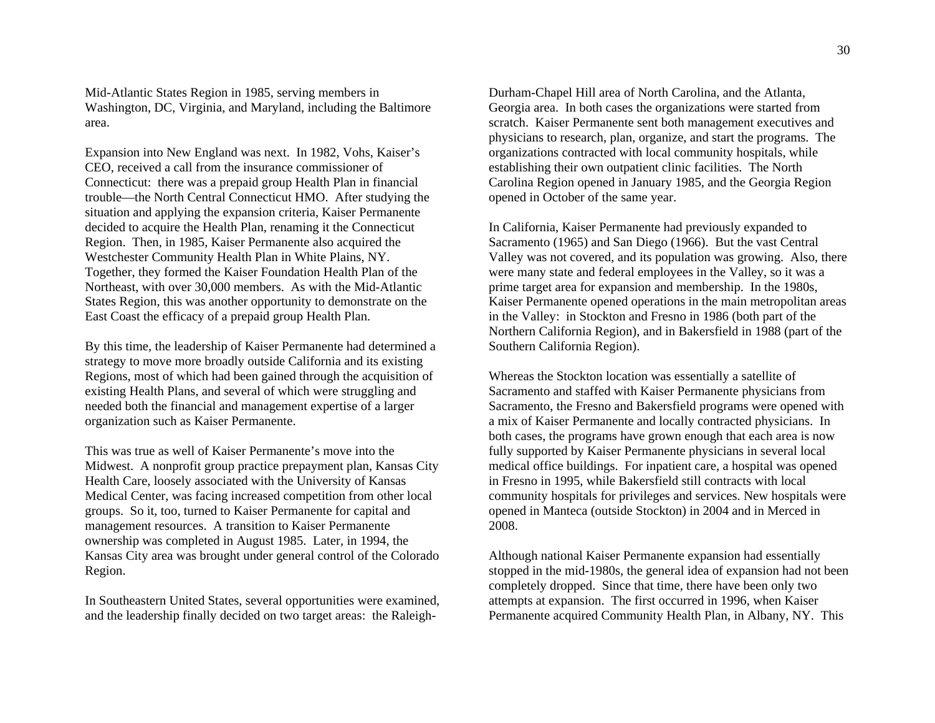Mid-Atlantic States Region in 1985, serving members in Washington, DC, Virginia, and Maryland, including the Baltimore area.

Expansion into New England was next. In 1982, Vohs, Kaiser's CEO, received a call from the insurance commissioner of Connecticut: there was a prepaid group Health Plan in financial trouble—the North Central Connecticut HMO. After studying the situation and applying the expansion criteria, Kaiser Permanente decided to acquire the Health Plan, renaming it the Connecticut Region. Then, in 1985, Kaiser Permanente also acquired the Westchester Community Health Plan in White Plains, NY. Together, they formed the Kaiser Foundation Health Plan of the Northeast, with over 30,000 members. As with the Mid-Atlantic States Region, this was another opportunity to demonstrate on the East Coast the efficacy of a prepaid group Health Plan.

By this time, the leadership of Kaiser Permanente had determined a strategy to move more broadly outside California and its existing Regions, most of which had been gained through the acquisition of existing Health Plans, and several of which were struggling and needed both the financial and management expertise of a larger organization such as Kaiser Permanente.

This was true as well of Kaiser Permanente's move into the Midwest. A nonprofit group practice prepayment plan, Kansas City Health Care, loosely associated with the University of Kansas Medical Center, was facing increased competition from other local groups. So it, too, turned to Kaiser Permanente for capital and management resources. A transition to Kaiser Permanente ownership was completed in August 1985. Later, in 1994, the Kansas City area was brought under general control of the Colorado Region.

In Southeastern United States, several opportunities were examined, and the leadership finally decided on two target areas: the Raleigh-

Durham-Chapel Hill area of North Carolina, and the Adanta,<br>Oceorgia area. In both cases the organizations were started from<br>scratch. Kaiser Permanente sent both management executives and<br>physicians to research, plan, organ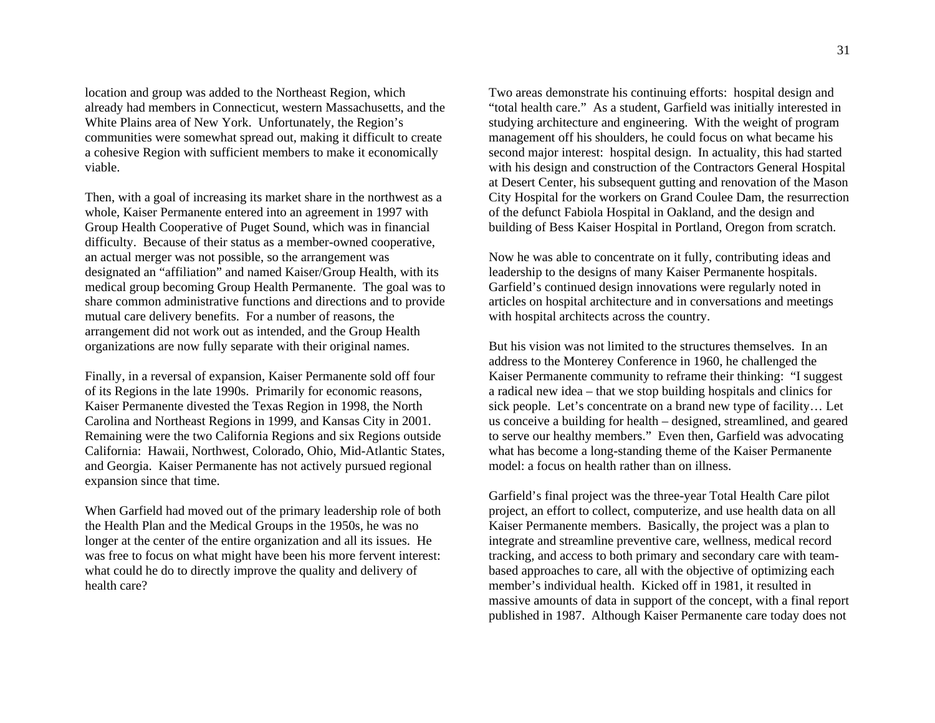location and group was added to the Northeast Region, which already had members in Connecticut, western Massachusetts, and the White Plains area of New York. Unfortunately, the Region's communities were somewhat spread out, making it difficult to create a cohesive Region with sufficient members to make it economically viable.

Then, with a goal of increasing its market share in the northwest as a whole, Kaiser Permanente entered into an agreement in 1997 with Group Health Cooperative of Puget Sound, which was in financial difficulty. Because of their status as a member-owned cooperative, an actual merger was not possible, so the arrangement was designated an "affiliation" and named Kaiser/Group Health, with its medical group becoming Group Health Permanente. The goal was to share common administrative functions and directions and to provide mutual care delivery benefits. For a number of reasons, the arrangement did not work out as intended, and the Group Health organizations are now fully separate with their original names.

Finally, in a reversal of expansion, Kaiser Permanente sold off four of its Regions in the late 1990s. Primarily for economic reasons, Kaiser Permanente divested the Texas Region in 1998, the North Carolina and Northeast Regions in 1999, and Kansas City in 2001. Remaining were the two California Regions and six Regions outside California: Hawaii, Northwest, Colorado, Ohio, Mid-Atlantic States, and Georgia. Kaiser Permanente has not actively pursued regional expansion since that time.

When Garfield had moved out of the primary leadership role of both the Health Plan and the Medical Groups in the 1950s, he was no longer at the center of the entire organization and all its issues. He was free to focus on what might have been his more fervent interest: what could he do to directly improve the quality and delivery of health care?

Two areas demonstrate his continuing efforts: hospital design and "total health care." As a student, Garfield was initially interested in studying architecture and engineering. With the weight of program management off his shoulders, he could focus on what became his second major interest: hospital design. In actuality, this had started with his design and construction of the Contractors General Hospital at Desert Center, his subsequent gutting and renovation of the Mason City Hospital for the workers on Grand Coulee Dam, the resurrection of the defunct Fabiola Hospital in Oakland, and the design and building of Bess Kaiser Hospital in Portland, Oregon from scratch.

Now he was able to concentrate on it fully, contributing ideas and leadership to the designs of many Kaiser Permanente hospitals. Garfield's continued design innovations were regularly noted in articles on hospital architecture and in conversations and meetings with hospital architects across the country.

But his vision was not limited to the structures themselves. In an address to the Monterey Conference in 1960, he challenged the Kaiser Permanente community to reframe their thinking: "I suggest a radical new idea – that we stop building hospitals and clinics for sick people. Let's concentrate on a brand new type of facility… Let us conceive a building for health – designed, streamlined, and geared to serve our healthy members." Even then, Garfield was advocating what has become a long-standing theme of the Kaiser Permanente model: a focus on health rather than on illness.

Garfield's final project was the three-year Total Health Care pilot project, an effort to collect, computerize, and use health data on all Kaiser Permanente members. Basically, the project was a plan to integrate and streamline preventive care, wellness, medical record tracking, and access to both primary and secondary care with teambased approaches to care, all with the objective of optimizing each member's individual health. Kicked off in 1981, it resulted in massive amounts of data in support of the concept, with a final report published in 1987. Although Kaiser Permanente care today does not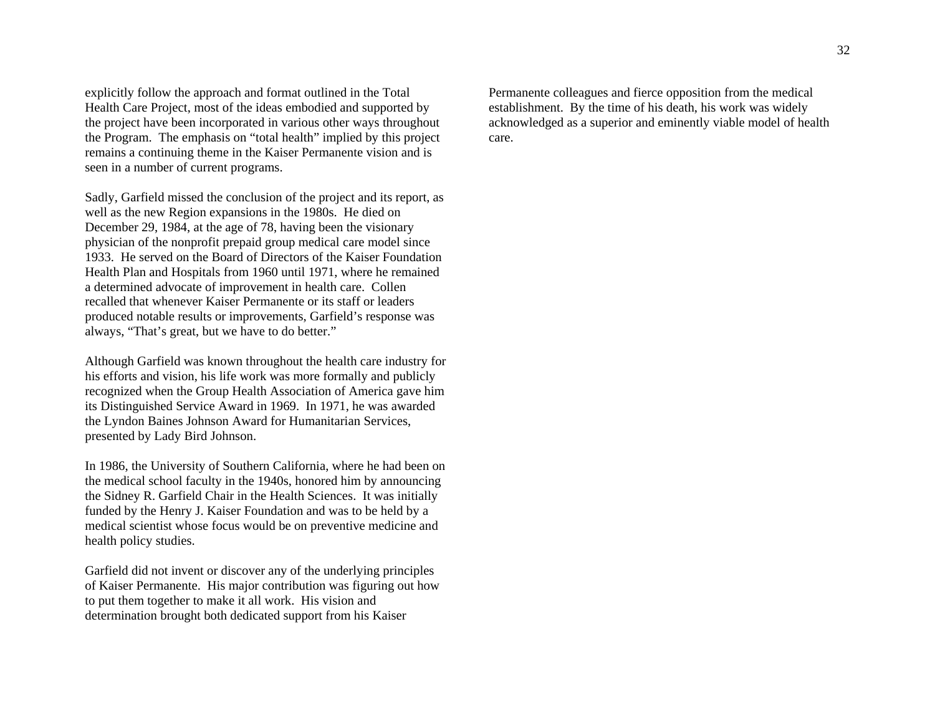explicitly follow the approach and format outlined in the Total Health Care Project, most of the ideas embodied and supported by the project have been incorporated in various other ways throughout the Program. The emphasis on "total health" implied by this project remains a continuing theme in the Kaiser Permanente vision and is seen in a number of current programs.

Sadly, Garfield missed the conclusion of the project and its report, as well as the new Region expansions in the 1980s. He died on December 29, 1984, at the age of 78, having been the visionary physician of the nonprofit prepaid group medical care model since 1933. He served on the Board of Directors of the Kaiser Foundation Health Plan and Hospitals from 1960 until 1971, where he remained a determined advocate of improvement in health care. Collen recalled that whenever Kaiser Permanente or its staff or leaders produced notable results or improvements, Garfield's response was always, "That's great, but we have to do better."

Although Garfield was known throughout the health care industry for his efforts and vision, his life work was more formally and publicly recognized when the Group Health Association of America gave him its Distinguished Service Award in 1969. In 1971, he was awarded the Lyndon Baines Johnson Award for Humanitarian Services, presented by Lady Bird Johnson.

In 1986, the University of Southern California, where he had been on the medical school faculty in the 1940s, honored him by announcing the Sidney R. Garfield Chair in the Health Sciences. It was initially funded by the Henry J. Kaiser Foundation and was to be held by a medical scientist whose focus would be on preventive medicine and health policy studies.

Garfield did not invent or discover any of the underlying principles of Kaiser Permanente. His major contribution was figuring out how to put them together to make it all work. His vision and determination brought both dedicated support from his Kaiser

Permanente colleagues and fierce opposition from the medical establishment. By the time of his death, his work was widely acknowledged as a superior and eminently viable model of health care.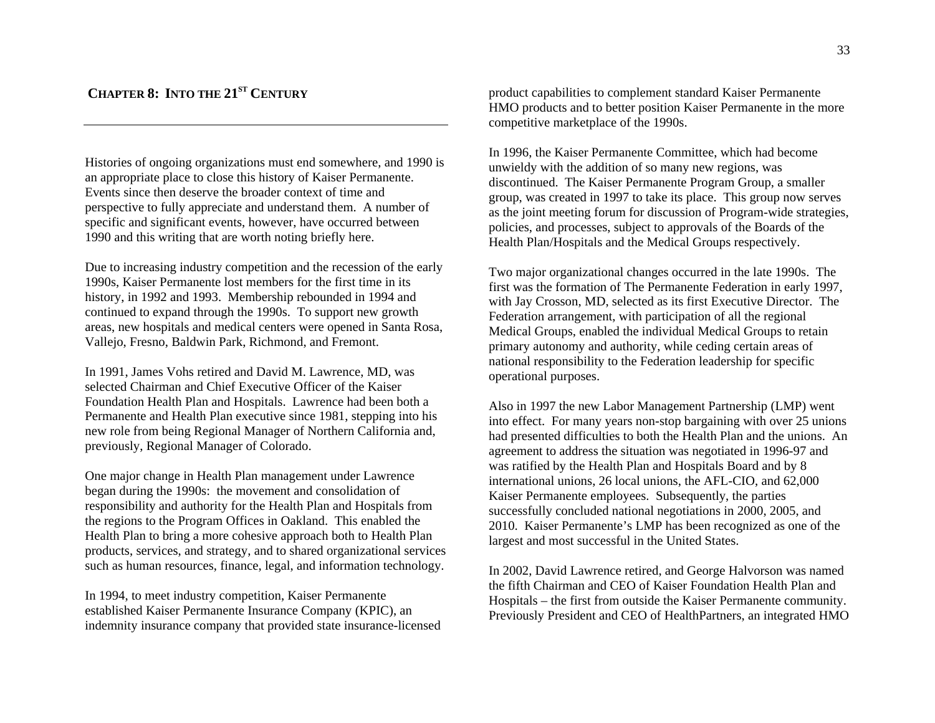# **CHAPTER 8: INTO THE 21ST CENTURY**

Histories of ongoing organizations must end somewhere, and 1990 is an appropriate place to close this history of Kaiser Permanente. Events since then deserve the broader context of time and perspective to fully appreciate and understand them. A number of specific and significant events, however, have occurred between 1990 and this writing that are worth noting briefly here.

Due to increasing industry competition and the recession of the early 1990s, Kaiser Permanente lost members for the first time in its history, in 1992 and 1993. Membership rebounded in 1994 and continued to expand through the 1990s. To support new growth areas, new hospitals and medical centers were opened in Santa Rosa, Vallejo, Fresno, Baldwin Park, Richmond, and Fremont.

In 1991, James Vohs retired and David M. Lawrence, MD, was selected Chairman and Chief Executive Officer of the Kaiser Foundation Health Plan and Hospitals. Lawrence had been both a Permanente and Health Plan executive since 1981, stepping into his new role from being Regional Manager of Northern California and, previously, Regional Manager of Colorado.

One major change in Health Plan management under Lawrence began during the 1990s: the movement and consolidation of responsibility and authority for the Health Plan and Hospitals from the regions to the Program Offices in Oakland. This enabled the Health Plan to bring a more cohesive approach both to Health Plan products, services, and strategy, and to shared organizational services such as human resources, finance, legal, and information technology.

In 1994, to meet industry competition, Kaiser Permanente established Kaiser Permanente Insurance Company (KPIC), an indemnity insurance company that provided state insurance-licensed

product capabilities to complement standard Kaiser Permanente HMO products and to better position Kaiser Permanente in the more competitive marketplace of the 1990s.

In 1996, the Kaiser Permanente Committee, which had become unwieldy with the addition of so many new regions, was discontinued. The Kaiser Permanente Program Group, a smaller group, was created in 1997 to take its place. This group now serves as the joint meeting forum for discussion of Program-wide strategies, policies, and processes, subject to approvals of the Boards of the Health Plan/Hospitals and the Medical Groups respectively.

Two major organizational changes occurred in the late 1990s. The first was the formation of The Permanente Federation in early 1997, with Jay Crosson, MD, selected as its first Executive Director. The Federation arrangement, with participation of all the regional Medical Groups, enabled the individual Medical Groups to retain primary autonomy and authority, while ceding certain areas of national responsibility to the Federation leadership for specific operational purposes.

Also in 1997 the new Labor Management Partnership (LMP) went into effect. For many years non-stop bargaining with over 25 unions had presented difficulties to both the Health Plan and the unions. An agreement to address the situation was negotiated in 1996-97 and was ratified by the Health Plan and Hospitals Board and by 8 international unions, 26 local unions, the AFL-CIO, and 62,000 Kaiser Permanente employees. Subsequently, the parties successfully concluded national negotiations in 2000, 2005, and 2010. Kaiser Permanente's LMP has been recognized as one of the largest and most successful in the United States.

In 2002, David Lawrence retired, and George Halvorson was named the fifth Chairman and CEO of Kaiser Foundation Health Plan and Hospitals – the first from outside the Kaiser Permanente community. Previously President and CEO of HealthPartners, an integrated HMO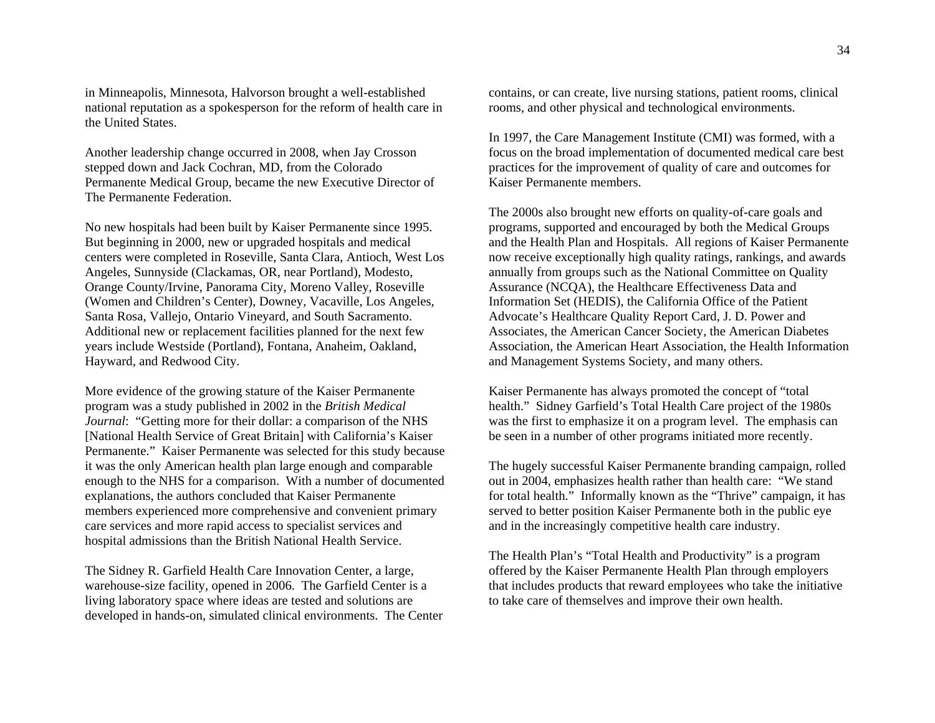in Minneapolis, Minnesota, Halvorson brought a well-established national reputation as a spokesperson for the reform of health care in the United States.

Another leadership change occurred in 2008, when Jay Crosson stepped down and Jack Cochran, MD, from the Colorado Permanente Medical Group, became the new Executive Director of The Permanente Federation.

No new hospitals had been built by Kaiser Permanente since 1995. But beginning in 2000, new or upgraded hospitals and medical centers were completed in Roseville, Santa Clara, Antioch, West Los Angeles, Sunnyside (Clackamas, OR, near Portland), Modesto, Orange County/Irvine, Panorama City, Moreno Valley, Roseville (Women and Children's Center), Downey, Vacaville, Los Angeles, Santa Rosa, Vallejo, Ontario Vineyard, and South Sacramento. Additional new or replacement facilities planned for the next few years include Westside (Portland), Fontana, Anaheim, Oakland, Hayward, and Redwood City.

More evidence of the growing stature of the Kaiser Permanente program was a study published in 2002 in the *British Medical Journal*: "Getting more for their dollar: a comparison of the NHS [National Health Service of Great Britain] with California's Kaiser Permanente." Kaiser Permanente was selected for this study because it was the only American health plan large enough and comparable enough to the NHS for a comparison. With a number of documented explanations, the authors concluded that Kaiser Permanente members experienced more comprehensive and convenient primary care services and more rapid access to specialist services and hospital admissions than the British National Health Service.

The Sidney R. Garfield Health Care Innovation Center, a large, warehouse-size facility, opened in 2006. The Garfield Center is a living laboratory space where ideas are tested and solutions are developed in hands-on, simulated clinical environments. The Center contains, or can create, live nursing stations, patient rooms, clinical rooms, and other physical and technological environments.

In 1997, the Care Management Institute (CMI) was formed, with a focus on the broad implementation of documented medical care best practices for the improvement of quality of care and outcomes for Kaiser Permanente members.

The 2000s also brought new efforts on quality-of-care goals and programs, supported and encouraged by both the Medical Groups and the Health Plan and Hospitals. All regions of Kaiser Permanente now receive exceptionally high quality ratings, rankings, and awards annually from groups such as the National Committee on Quality Assurance (NCQA), the Healthcare Effectiveness Data and Information Set (HEDIS), the California Office of the Patient Advocate's Healthcare Quality Report Card, J. D. Power and Associates, the American Cancer Society, the American Diabetes Association, the American Heart Association, the Health Information and Management Systems Society, and many others.

Kaiser Permanente has always promoted the concept of "total health." Sidney Garfield's Total Health Care project of the 1980s was the first to emphasize it on a program level. The emphasis can be seen in a number of other programs initiated more recently.

The hugely successful Kaiser Permanente branding campaign, rolled out in 2004, emphasizes health rather than health care: "We stand for total health." Informally known as the "Thrive" campaign, it has served to better position Kaiser Permanente both in the public eye and in the increasingly competitive health care industry.

The Health Plan's "Total Health and Productivity" is a program offered by the Kaiser Permanente Health Plan through employers that includes products that reward employees who take the initiative to take care of themselves and improve their own health.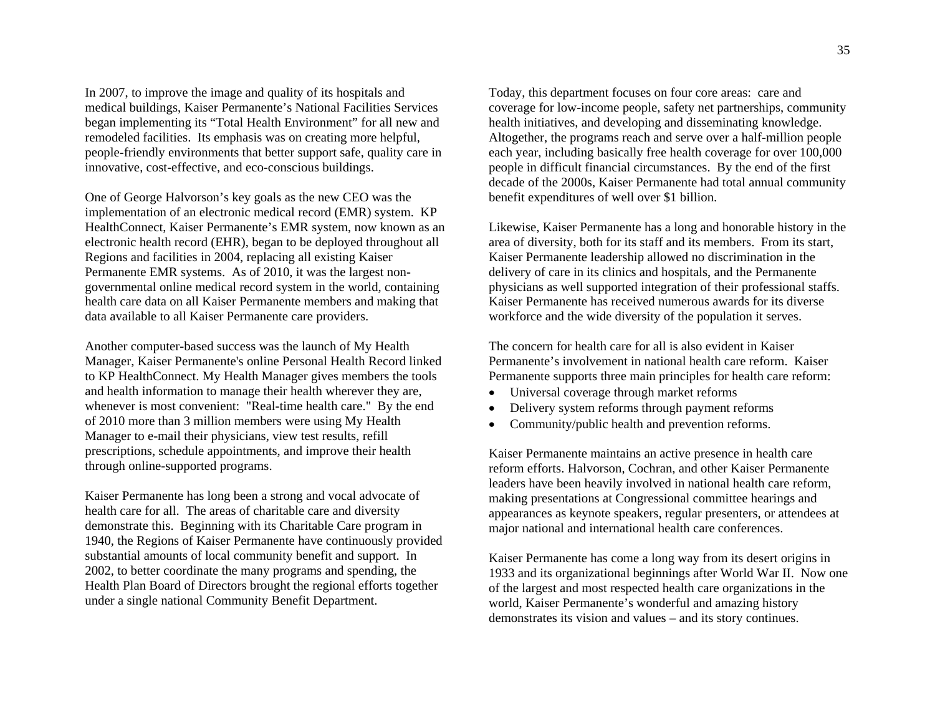In 2007, to improve the image and quality of its hospitals and medical buildings, Kaiser Permanente's National Facilities Services began implementing its "Total Health Environment" for all new and remodeled facilities. Its emphasis was on creating more helpful, people-friendly environments that better support safe, quality care in innovative, cost-effective, and eco-conscious buildings.

One of George Halvorson's key goals as the new CEO was the implementation of an electronic medical record (EMR) system. KP HealthConnect, Kaiser Permanente's EMR system, now known as an electronic health record (EHR), began to be deployed throughout all Regions and facilities in 2004, replacing all existing Kaiser Permanente EMR systems. As of 2010, it was the largest nongovernmental online medical record system in the world, containing health care data on all Kaiser Permanente members and making that data available to all Kaiser Permanente care providers.

Another computer-based success was the launch of My Health Manager, Kaiser Permanente's online Personal Health Record linked to KP HealthConnect. My Health Manager gives members the tools and health information to manage their health wherever they are, whenever is most convenient: "Real-time health care." By the end of 2010 more than 3 million members were using My Health Manager to e-mail their physicians, view test results, refill prescriptions, schedule appointments, and improve their health through online-supported programs.

Kaiser Permanente has long been a strong and vocal advocate of health care for all. The areas of charitable care and diversity demonstrate this. Beginning with its Charitable Care program in 1940, the Regions of Kaiser Permanente have continuously provided substantial amounts of local community benefit and support. In 2002, to better coordinate the many programs and spending, the Health Plan Board of Directors brought the regional efforts together under a single national Community Benefit Department.

Today, this department focuses on four core areas: care and coverage for low-income people, safety net partnerships, community health initiatives, and developing and disseminating knowledge. Altogether, the programs reach and serve over a half-million people each year, including basically free health coverage for over 100,000 people in difficult financial circumstances. By the end of the first decade of the 2000s, Kaiser Permanente had total annual community benefit expenditures of well over \$1 billion.

Likewise, Kaiser Permanente has a long and honorable history in the area of diversity, both for its staff and its members. From its start, Kaiser Permanente leadership allowed no discrimination in the delivery of care in its clinics and hospitals, and the Permanente physicians as well supported integration of their professional staffs. Kaiser Permanente has received numerous awards for its diverse workforce and the wide diversity of the population it serves.

The concern for health care for all is also evident in Kaiser Permanente's involvement in national health care reform. Kaiser Permanente supports three main principles for health care reform:

- $\bullet$ Universal coverage through market reforms
- $\bullet$ Delivery system reforms through payment reforms
- 0 Community/public health and prevention reforms.

Kaiser Permanente maintains an active presence in health care reform efforts. Halvorson, Cochran, and other Kaiser Permanente leaders have been heavily involved in national health care reform, making presentations at Congressional committee hearings and appearances as keynote speakers, regular presenters, or attendees at major national and international health care conferences.

Kaiser Permanente has come a long way from its desert origins in 1933 and its organizational beginnings after World War II. Now one of the largest and most respected health care organizations in the world, Kaiser Permanente's wonderful and amazing history demonstrates its vision and values – and its story continues.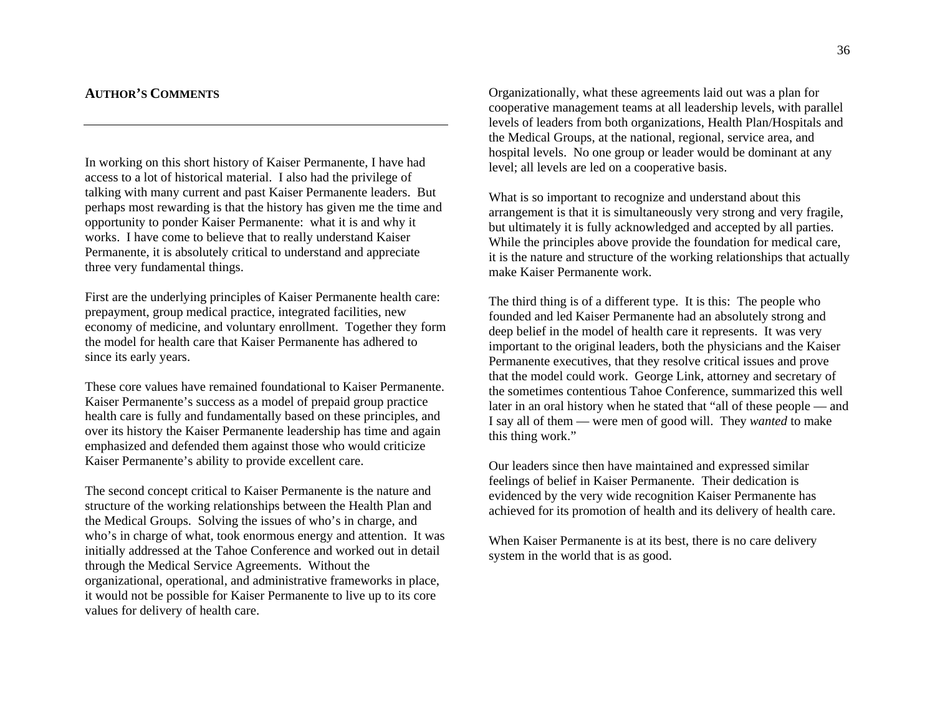# **AUTHOR'S COMMENTS**

In working on this short history of Kaiser Permanente, I have had access to a lot of historical material. I also had the privilege of talking with many current and past Kaiser Permanente leaders. But perhaps most rewarding is that the history has given me the time and opportunity to ponder Kaiser Permanente: what it is and why it works. I have come to believe that to really understand Kaiser Permanente, it is absolutely critical to understand and appreciate three very fundamental things.

First are the underlying principles of Kaiser Permanente health care: prepayment, group medical practice, integrated facilities, new economy of medicine, and voluntary enrollment. Together they form the model for health care that Kaiser Permanente has adhered to since its early years.

These core values have remained foundational to Kaiser Permanente. Kaiser Permanente's success as a model of prepaid group practice health care is fully and fundamentally based on these principles, and over its history the Kaiser Permanente leadership has time and again emphasized and defended them against those who would criticize Kaiser Permanente's ability to provide excellent care.

The second concept critical to Kaiser Permanente is the nature and structure of the working relationships between the Health Plan and the Medical Groups. Solving the issues of who's in charge, and who's in charge of what, took enormous energy and attention. It was initially addressed at the Tahoe Conference and worked out in detail through the Medical Service Agreements. Without the organizational, operational, and administrative frameworks in place, it would not be possible for Kaiser Permanente to live up to its core values for delivery of health care.

Organizationally, what these agreements laid out was a plan for cooperative management teams at all leadership levels, with parallel levels of leaders from both organizations, Health Plan/Hospitals and the Medical Groups, at the national, regional, service area, and hospital levels. No one group or leader would be dominant at any level; all levels are led on a cooperative basis.

What is so important to recognize and understand about this arrangement is that it is simultaneously very strong and very fragile, but ultimately it is fully acknowledged and accepted by all parties. While the principles above provide the foundation for medical care, it is the nature and structure of the working relationships that actually make Kaiser Permanente work.

The third thing is of a different type. It is this: The people who founded and led Kaiser Permanente had an absolutely strong and deep belief in the model of health care it represents. It was very important to the original leaders, both the physicians and the Kaiser Permanente executives, that they resolve critical issues and prove that the model could work. George Link, attorney and secretary of the sometimes contentious Tahoe Conference, summarized this well later in an oral history when he stated that "all of these people — and I say all of them — were men of good will. They *wanted* to make this thing work."

Our leaders since then have maintained and expressed similar feelings of belief in Kaiser Permanente. Their dedication is evidenced by the very wide recognition Kaiser Permanente has achieved for its promotion of health and its delivery of health care.

When Kaiser Permanente is at its best, there is no care delivery system in the world that is as good.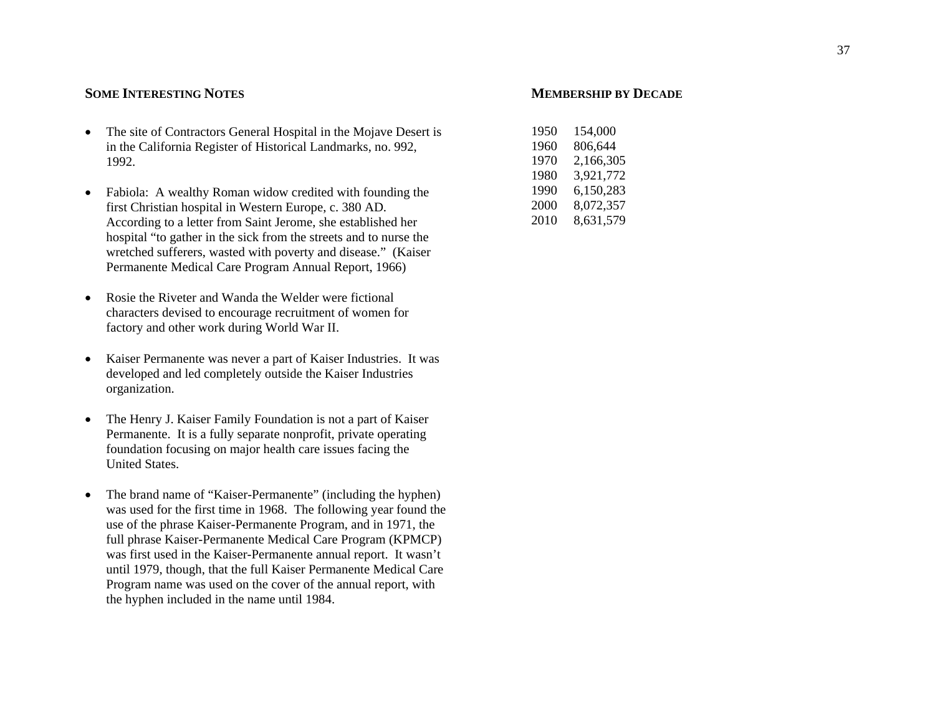# **SOME INTERESTING NOTES**

- The site of Contractors General Hospital in the Mojave Desert is in the California Register of Historical Landmarks, no. 992, 1992.
- c Fabiola: A wealthy Roman widow credited with founding the first Christian hospital in Western Europe, c. 380 AD. According to a letter from Saint Jerome, she established her hospital "to gather in the sick from the streets and to nurse the wretched sufferers, wasted with poverty and disease." (Kaiser Permanente Medical Care Program Annual Report, 1966)
- $\bullet$  Rosie the Riveter and Wanda the Welder were fictional characters devised to encourage recruitment of women for factory and other work during World War II.
- Kaiser Permanente was never a part of Kaiser Industries. It was developed and led completely outside the Kaiser Industries organization.
- The Henry J. Kaiser Family Foundation is not a part of Kaiser Permanente. It is a fully separate nonprofit, private operating foundation focusing on major health care issues facing the United States.
- c The brand name of "Kaiser-Permanente" (including the hyphen) was used for the first time in 1968. The following year found the use of the phrase Kaiser-Permanente Program, and in 1971, the full phrase Kaiser-Permanente Medical Care Program (KPMCP) was first used in the Kaiser-Permanente annual report. It wasn't until 1979, though, that the full Kaiser Permanente Medical Care Program name was used on the cover of the annual report, with the hyphen included in the name until 1984.

# **MEMBERSHIP BY DECADE**

| 1950 | 154,000   |
|------|-----------|
| 1960 | 806,644   |
| 1970 | 2,166,305 |
| 1980 | 3,921,772 |
| 1990 | 6,150,283 |
| 2000 | 8,072,357 |
| 2010 | 8,631,579 |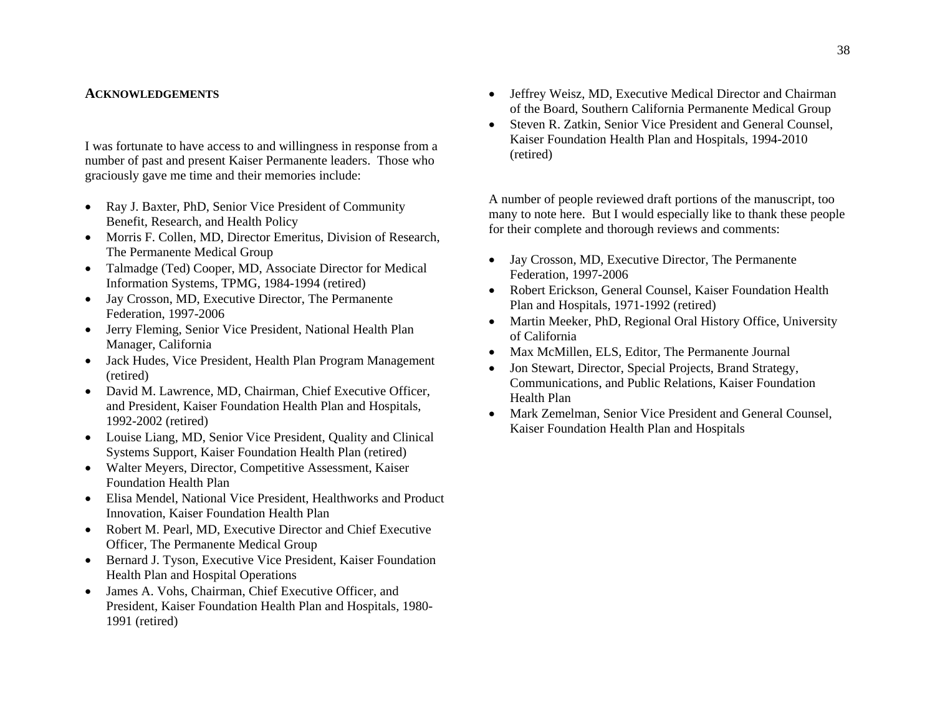## **ACKNOWLEDGEMENTS**

I was fortunate to have access to and willingness in response from a number of past and present Kaiser Permanente leaders. Those who graciously gave me time and their memories include:

- Ray J. Baxter, PhD, Senior Vice President of Community Benefit, Research, and Health Policy
- Morris F. Collen, MD, Director Emeritus, Division of Research, The Permanente Medical Group
- Talmadge (Ted) Cooper, MD, Associate Director for Medical Information Systems, TPMG, 1984-1994 (retired)
- Jay Crosson, MD, Executive Director, The Permanente Federation, 1997-2006
- Jerry Fleming, Senior Vice President, National Health Plan Manager, California
- Jack Hudes, Vice President, Health Plan Program Management (retired)
- David M. Lawrence, MD, Chairman, Chief Executive Officer, and President, Kaiser Foundation Health Plan and Hospitals, 1992-2002 (retired)
- Louise Liang, MD, Senior Vice President, Quality and Clinical Systems Support, Kaiser Foundation Health Plan (retired)
- Walter Meyers, Director, Competitive Assessment, Kaiser Foundation Health Plan
- Elisa Mendel, National Vice President, Healthworks and Product Innovation, Kaiser Foundation Health Plan
- Robert M. Pearl, MD, Executive Director and Chief Executive Officer, The Permanente Medical Group
- Bernard J. Tyson, Executive Vice President, Kaiser Foundation Health Plan and Hospital Operations
- James A. Vohs, Chairman, Chief Executive Officer, and President, Kaiser Foundation Health Plan and Hospitals, 1980- 1991 (retired)
- Jeffrey Weisz, MD, Executive Medical Director and Chairman of the Board, Southern California Permanente Medical Group
- Steven R. Zatkin, Senior Vice President and General Counsel, Kaiser Foundation Health Plan and Hospitals, 1994-2010 (retired)

A number of people reviewed draft portions of the manuscript, too many to note here. But I would especially like to thank these people for their complete and thorough reviews and comments:

- Jay Crosson, MD, Executive Director, The Permanente Federation, 1997-2006
- Robert Erickson, General Counsel, Kaiser Foundation Health Plan and Hospitals, 1971-1992 (retired)
- Martin Meeker, PhD, Regional Oral History Office, University of California
- Max McMillen, ELS, Editor, The Permanente Journal
- $\bullet$  Jon Stewart, Director, Special Projects, Brand Strategy, Communications, and Public Relations, Kaiser Foundation Health Plan
- Mark Zemelman, Senior Vice President and General Counsel, Kaiser Foundation Health Plan and Hospitals